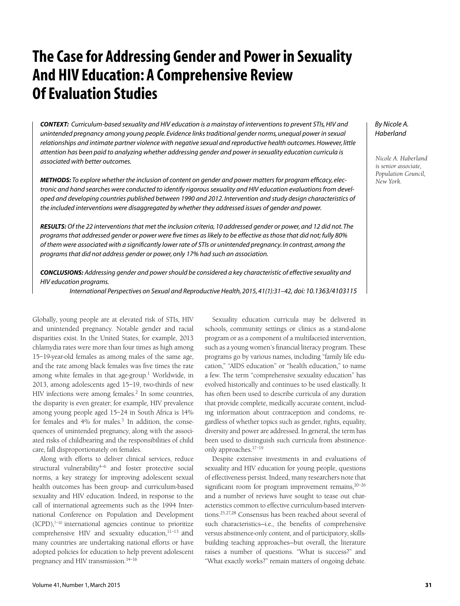# **The Case for Addressing Gender and Power in Sexuality And HIV Education: A Comprehensive Review Of Evaluation Studies**

*CONTEXT: Curriculum-based sexuality and HIV education is a mainstay of interventions to prevent STIs, HIV and unintended pregnancy among young people. Evidence links traditional gender norms, unequal power in sexual*  relationships and intimate partner violence with negative sexual and reproductive health outcomes. However, little *attention has been paid to analyzing whether addressing gender and power in sexuality education curricula is associated with better outcomes.* 

*METHODS: To explore whether the inclusion of content on gender and power matters for program efficacy, electronic and hand searches were conducted to identify rigorous sexuality and HIV education evaluations from developed and developing countries published between 1990 and 2012. Intervention and study design characteristics of the included interventions were disaggregated by whether they addressed issues of gender and power.*

*RESULTS: Of the 22 interventions that met the inclusion criteria, 10 addressed gender or power, and 12 did not. The programs that addressed gender or power were five times as likely to be effective as those that did not; fully 80% of them were associated with a significantly lower rate of STIs or unintended pregnancy. In contrast, among the programs that did not address gender or power, only 17% had such an association.*

*CONCLUSIONS: Addressing gender and power should be considered a key characteristic of effective sexuality and HIV education programs.*

*International Perspectives on Sexual and Reproductive Health, 2015, 41(1):31–42, doi: 10.1363/4103115*

Globally, young people are at elevated risk of STIs, HIV and unintended pregnancy. Notable gender and racial disparities exist. In the United States, for example, 2013 chlamydia rates were more than four times as high among 15–19-year-old females as among males of the same age, and the rate among black females was five times the rate among white females in that age-group. $^1$  Worldwide, in 2013, among adolescents aged 15–19, two-thirds of new HIV infections were among females.<sup>2</sup> In some countries, the disparity is even greater; for example, HIV prevalence among young people aged 15–24 in South Africa is 14% for females and  $4\%$  for males.<sup>3</sup> In addition, the consequences of unintended pregnancy, along with the associated risks of childbearing and the responsibilities of child care, fall disproportionately on females.

Along with efforts to deliver clinical services, reduce structural vulnerability<sup>4-6</sup> and foster protective social norms, a key strategy for improving adolescent sexual health outcomes has been group- and curriculum-based sexuality and HIV education. Indeed, in response to the call of international agreements such as the 1994 International Conference on Population and Development  $(ICPD)$ ,<sup> $7-10$ </sup> international agencies continue to prioritize comprehensive HIV and sexuality education, $11-13$  and many countries are undertaking national efforts or have adopted policies for education to help prevent adolescent pregnancy and HIV transmission.<sup>14-16</sup>

Sexuality education curricula may be delivered in schools, community settings or clinics as a stand-alone program or as a component of a multifaceted intervention, such as a young women's financial literacy program. These programs go by various names, including "family life education," "AIDS education" or "health education," to name a few. The term "comprehensive sexuality education" has evolved historically and continues to be used elastically. It has often been used to describe curricula of any duration that provide complete, medically accurate content, including information about contraception and condoms, regardless of whether topics such as gender, rights, equality, diversity and power are addressed. In general, the term has been used to distinguish such curricula from abstinenceonly approaches.17–19

Despite extensive investments in and evaluations of sexuality and HIV education for young people, questions of effectiveness persist. Indeed, many researchers note that significant room for program improvement remains,<sup>20-26</sup> and a number of reviews have sought to tease out characteristics common to effective curriculum-based interventions.25,27,28 Consensus has been reached about several of such characteristics-i.e., the benefits of comprehensive versus abstinence-only content, and of participatory, skillsbuilding teaching approaches—but overall, the literature raises a number of questions. "What is success?" and "What exactly works?" remain matters of ongoing debate.

*Nicole A. Haberland is senior associate, Population Council, New York.*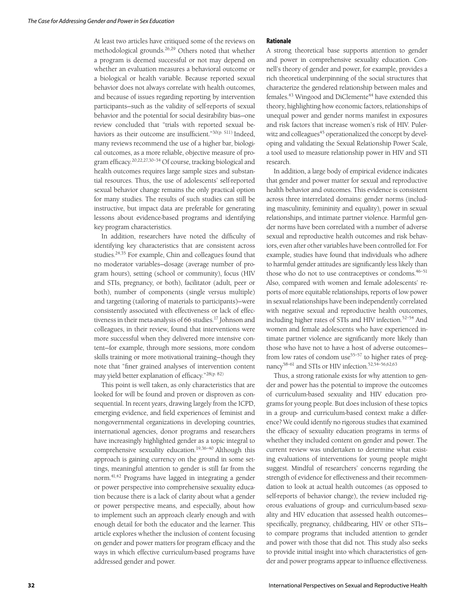At least two articles have critiqued some of the reviews on methodological grounds.26,29 Others noted that whether a program is deemed successful or not may depend on whether an evaluation measures a behavioral outcome or a biological or health variable. Because reported sexual behavior does not always correlate with health outcomes, and because of issues regarding reporting by intervention participants—such as the validity of self-reports of sexual behavior and the potential for social desirability bias—one review concluded that "trials with reported sexual behaviors as their outcome are insufficient."<sup>30(p. S11)</sup> Indeed, many reviews recommend the use of a higher bar, biological outcomes, as a more reliable, objective measure of program efficacy.20,22,27,30–34 Of course, tracking biological and health outcomes requires large sample sizes and substantial resources. Thus, the use of adolescents' self-reported sexual behavior change remains the only practical option for many studies. The results of such studies can still be instructive, but impact data are preferable for generating lessons about evidence-based programs and identifying key program characteristics.

In addition, researchers have noted the difficulty of identifying key characteristics that are consistent across studies.24,35 For example, Chin and colleagues found that no moderator variables—dosage (average number of program hours), setting (school or community), focus (HIV and STIs, pregnancy, or both), facilitator (adult, peer or both), number of components (single versus multiple) and targeting (tailoring of materials to participants)—were consistently associated with effectiveness or lack of effectiveness in their meta-analysis of 66 studies.<sup>17</sup> Johnson and colleagues, in their review, found that interventions were more successful when they delivered more intensive content—for example, through more sessions, more condom skills training or more motivational training—though they note that "finer grained analyses of intervention content may yield better explanation of efficacy."28(p. 82)

This point is well taken, as only characteristics that are looked for will be found and proven or disproven as consequential. In recent years, drawing largely from the ICPD, emerging evidence, and field experiences of feminist and nongovernmental organizations in developing countries, international agencies, donor programs and researchers have increasingly highlighted gender as a topic integral to comprehensive sexuality education.<sup>19,36-40</sup> Although this approach is gaining currency on the ground in some settings, meaningful attention to gender is still far from the norm.41,42 Programs have lagged in integrating a gender or power perspective into comprehensive sexuality education because there is a lack of clarity about what a gender or power perspective means, and especially, about how to implement such an approach clearly enough and with enough detail for both the educator and the learner. This article explores whether the inclusion of content focusing on gender and power matters for program efficacy and the ways in which effective curriculum-based programs have addressed gender and power.

# **Rationale**

A strong theoretical base supports attention to gender and power in comprehensive sexuality education. Connell's theory of gender and power, for example, provides a rich theoretical underpinning of the social structures that characterize the gendered relationship between males and females.<sup>43</sup> Wingood and DiClemente<sup>44</sup> have extended this theory, highlighting how economic factors, relationships of unequal power and gender norms manifest in exposures and risk factors that increase women's risk of HIV. Pulerwitz and colleagues<sup>45</sup> operationalized the concept by developing and validating the Sexual Relationship Power Scale, a tool used to measure relationship power in HIV and STI research.

In addition, a large body of empirical evidence indicates that gender and power matter for sexual and reproductive health behavior and outcomes. This evidence is consistent across three interrelated domains: gender norms (including masculinity, femininity and equality), power in sexual relationships, and intimate partner violence. Harmful gender norms have been correlated with a number of adverse sexual and reproductive health outcomes and risk behaviors, even after other variables have been controlled for. For example, studies have found that individuals who adhere to harmful gender attitudes are significantly less likely than those who do not to use contraceptives or condoms.<sup>46-51</sup> Also, compared with women and female adolescents' reports of more equitable relationships, reports of low power in sexual relationships have been independently correlated with negative sexual and reproductive health outcomes, including higher rates of STIs and HIV infection.<sup>52-54</sup> And women and female adolescents who have experienced intimate partner violence are significantly more likely than those who have not to have a host of adverse outcomes from low rates of condom use $55-57$  to higher rates of pregnancy<sup>58-61</sup> and STIs or HIV infection.<sup>52,54-56,62,63</sup>

Thus, a strong rationale exists for why attention to gender and power has the potential to improve the outcomes of curriculum-based sexuality and HIV education programs for young people. But does inclusion of these topics in a group- and curriculum-based context make a difference? We could identify no rigorous studies that examined the efficacy of sexuality education programs in terms of whether they included content on gender and power. The current review was undertaken to determine what existing evaluations of interventions for young people might suggest. Mindful of researchers' concerns regarding the strength of evidence for effectiveness and their recommendation to look at actual health outcomes (as opposed to self-reports of behavior change), the review included rigorous evaluations of group- and curriculum-based sexuality and HIV education that assessed health outcomes specifically, pregnancy, childbearing, HIV or other STIs to compare programs that included attention to gender and power with those that did not. This study also seeks to provide initial insight into which characteristics of gender and power programs appear to influence effectiveness.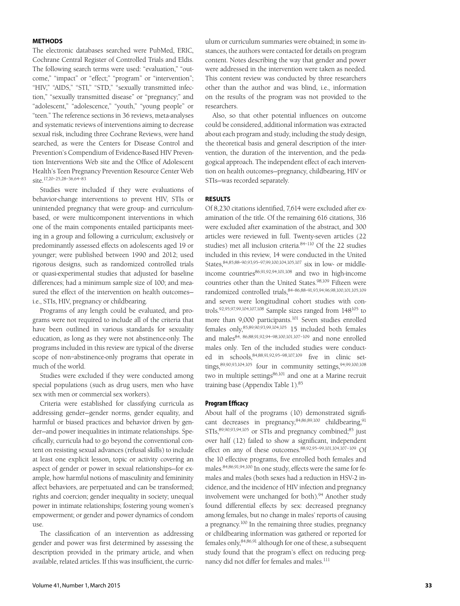## **METHODS**

The electronic databases searched were PubMed, ERIC, Cochrane Central Register of Controlled Trials and Eldis. The following search terms were used: "evaluation," "outcome," "impact" or "effect;" "program" or "intervention"; "HIV," "AIDS," "STI," "STD," "sexually transmitted infection," "sexually transmitted disease" or "pregnancy;" and "adolescent," "adolescence," "youth," "young people" or "teen." The reference sections in 36 reviews, meta-analyses and systematic reviews of interventions aiming to decrease sexual risk, including three Cochrane Reviews, were hand searched, as were the Centers for Disease Control and Prevention's Compendium of Evidence-Based HIV Prevention Interventions Web site and the Office of Adolescent Health's Teen Pregnancy Prevention Resource Center Web site $.17,20-25,28-36,64-83$ 

Studies were included if they were evaluations of behavior-change interventions to prevent HIV, STIs or unintended pregnancy that were group- and curriculumbased, or were multicomponent interventions in which one of the main components entailed participants meeting in a group and following a curriculum; exclusively or predominantly assessed effects on adolescents aged 19 or younger; were published between 1990 and 2012; used rigorous designs, such as randomized controlled trials or quasi-experimental studies that adjusted for baseline differences; had a minimum sample size of 100; and measured the effect of the intervention on health outcomes i.e., STIs, HIV, pregnancy or childbearing.

Programs of any length could be evaluated, and programs were not required to include all of the criteria that have been outlined in various standards for sexuality education, as long as they were not abstinence-only. The programs included in this review are typical of the diverse scope of non–abstinence-only programs that operate in much of the world.

Studies were excluded if they were conducted among special populations (such as drug users, men who have sex with men or commercial sex workers).

Criteria were established for classifying curricula as addressing gender—gender norms, gender equality, and harmful or biased practices and behavior driven by gender—and power inequalities in intimate relationships. Specifically, curricula had to go beyond the conventional content on resisting sexual advances (refusal skills) to include at least one explicit lesson, topic or activity covering an aspect of gender or power in sexual relationships—for example, how harmful notions of masculinity and femininity affect behaviors, are perpetuated and can be transformed; rights and coercion; gender inequality in society; unequal power in intimate relationships; fostering young women's empowerment; or gender and power dynamics of condom use.

The classification of an intervention as addressing gender and power was first determined by assessing the description provided in the primary article, and when available, related articles. If this was insufficient, the curric-

ulum or curriculum summaries were obtained; in some instances, the authors were contacted for details on program content. Notes describing the way that gender and power were addressed in the intervention were taken as needed. This content review was conducted by three researchers other than the author and was blind, i.e., information on the results of the program was not provided to the researchers.

Also, so that other potential influences on outcome could be considered, additional information was extracted about each program and study, including the study design, the theoretical basis and general description of the intervention, the duration of the intervention, and the pedagogical approach. The independent effect of each intervention on health outcomes—pregnancy, childbearing, HIV or STIs—was recorded separately.

## **RESULTS**

Of 8,230 citations identified, 7,614 were excluded after examination of the title. Of the remaining 616 citations, 316 were excluded after examination of the abstract, and 300 articles were reviewed in full. Twenty-seven articles (22 studies) met all inclusion criteria.<sup>84-110</sup> Of the 22 studies included in this review, 14 were conducted in the United States, 84,85,88-90,93,95-97,99,100,104,105,107 six in low- or middleincome countries<sup>86,91,92,94,101,108</sup> and two in high-income countries other than the United States.<sup>98,109</sup> Fifteen were randomized controlled trials, 84-86,88-91,93,94,96,98,100,101,105,109 and seven were longitudinal cohort studies with controls.92,95,97,99,104,107,108 Sample sizes ranged from 148105 to more than 9,000 participants.<sup>101</sup> Seven studies enrolled females only,85,89,90,93,99,104,105 15 included both females and males<sup>84, 86,88,91,92,94-98,100,101,107-109</sup> and none enrolled males only. Ten of the included studies were conducted in schools, <sup>84,88,91,92,95-98,107,109</sup> five in clinic settings, 89,90,93,104,105 four in community settings, 94,99,100,108 two in multiple settings<sup>86,101</sup> and one at a Marine recruit training base (Appendix Table 1).85

## **Program Efficacy**

About half of the programs (10) demonstrated significant decreases in pregnancy, 84,86,89,100 childbearing, 91 STIs,<sup>89,90,93,94,105</sup> or STIs and pregnancy combined;<sup>85</sup> just over half (12) failed to show a significant, independent effect on any of these outcomes.<sup>88,92,95-99,101,104,107-109</sup> Of the 10 effective programs, five enrolled both females and males.84,86,91,94,100 In one study, effects were the same for females and males (both sexes had a reduction in HSV-2 incidence, and the incidence of HIV infection and pregnancy involvement were unchanged for both).<sup>94</sup> Another study found differential effects by sex: decreased pregnancy among females, but no change in males' reports of causing a pregnancy.<sup>100</sup> In the remaining three studies, pregnancy or childbearing information was gathered or reported for females only, 84,86,91 although for one of these, a subsequent study found that the program's effect on reducing pregnancy did not differ for females and males.<sup>111</sup>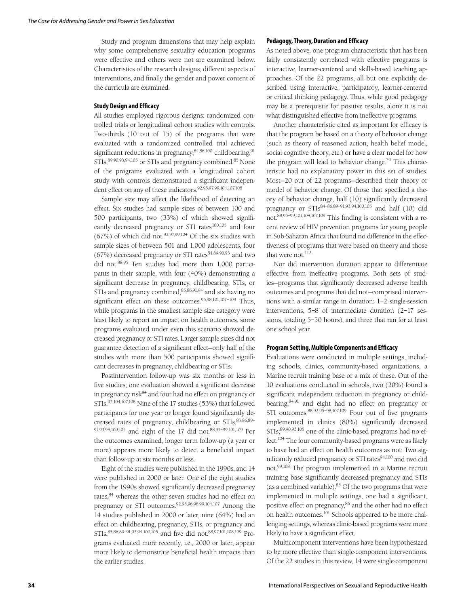Study and program dimensions that may help explain why some comprehensive sexuality education programs were effective and others were not are examined below. Characteristics of the research designs, different aspects of interventions, and finally the gender and power content of the curricula are examined.

## **Study Design and Efficacy**

All studies employed rigorous designs: randomized controlled trials or longitudinal cohort studies with controls. Two-thirds (10 out of 15) of the programs that were evaluated with a randomized controlled trial achieved significant reductions in pregnancy, 84,86,100 childbearing, 91 STIs,  $89,90,93,94,105$  or STIs and pregnancy combined.  $85$  None of the programs evaluated with a longitudinal cohort study with controls demonstrated a significant independent effect on any of these indicators.92,95,97,99,104,107,108

Sample size may affect the likelihood of detecting an effect. Six studies had sample sizes of between 100 and 500 participants, two (33%) of which showed significantly decreased pregnancy or STI rates<sup>100,105</sup> and four  $(67%)$  of which did not.<sup>92,97,99,104</sup> Of the six studies with sample sizes of between 501 and 1,000 adolescents, four  $(67%)$  decreased pregnancy or STI rates $84,89,90,93$  and two did not.88,95 Ten studies had more than 1,000 participants in their sample, with four (40%) demonstrating a significant decrease in pregnancy, childbearing, STIs, or STIs and pregnancy combined, 85,86,91,94 and six having no significant effect on these outcomes.<sup>96,98,101,107-109</sup> Thus, while programs in the smallest sample size category were least likely to report an impact on health outcomes, some programs evaluated under even this scenario showed decreased pregnancy or STI rates. Larger sample sizes did not guarantee detection of a significant effect—only half of the studies with more than 500 participants showed significant decreases in pregnancy, childbearing or STIs.

Postintervention follow-up was six months or less in five studies; one evaluation showed a significant decrease in pregnancy risk $84$  and four had no effect on pregnancy or STIs.92,104,107,108 Nine of the 17 studies (53%) that followed participants for one year or longer found significantly decreased rates of pregnancy, childbearing or STIs, 85,86,89-91,93,94,100,105 and eight of the 17 did not.88,95–99,101,109 For the outcomes examined, longer term follow-up (a year or more) appears more likely to detect a beneficial impact than follow-up at six months or less.

Eight of the studies were published in the 1990s, and 14 were published in 2000 or later. One of the eight studies from the 1990s showed significantly decreased pregnancy rates,<sup>84</sup> whereas the other seven studies had no effect on pregnancy or STI outcomes.92,95,96,98,99,104,107 Among the 14 studies published in 2000 or later, nine (64%) had an effect on childbearing, pregnancy, STIs, or pregnancy and STIs,85,86,89–91,93,94,100,105 and five did not.88,97,101,108,109 Programs evaluated more recently, i.e., 2000 or later, appear more likely to demonstrate beneficial health impacts than the earlier studies.

#### **Pedagogy, Theory, Duration and Efficacy**

As noted above, one program characteristic that has been fairly consistently correlated with effective programs is interactive, learner-centered and skills-based teaching approaches. Of the 22 programs, all but one explicitly described using interactive, participatory, learner-centered or critical thinking pedagogy. Thus, while good pedagogy may be a prerequisite for positive results, alone it is not what distinguished effective from ineffective programs.

Another characteristic cited as important for efficacy is that the program be based on a theory of behavior change (such as theory of reasoned action, health belief model, social cognitive theory, etc.) or have a clear model for how the program will lead to behavior change.<sup>79</sup> This characteristic had no explanatory power in this set of studies. Most—20 out of 22 programs—described their theory or model of behavior change. Of those that specified a theory of behavior change, half (10) significantly decreased pregnancy or  $STIs^{84-86,89-91,93,94,100,105}$  and half (10) did not.88,95–99,101,104,107,109 This finding is consistent with a recent review of HIV prevention programs for young people in Sub-Saharan Africa that found no difference in the effectiveness of programs that were based on theory and those that were not.<sup>112</sup>

Nor did intervention duration appear to differentiate effective from ineffective programs. Both sets of studies—programs that significantly decreased adverse health outcomes and programs that did not—comprised interventions with a similar range in duration: 1–2 single-session interventions, 5–8 of intermediate duration (2–17 sessions, totaling 5–50 hours), and three that ran for at least one school year.

### **Program Setting, Multiple Components and Efficacy**

Evaluations were conducted in multiple settings, including schools, clinics, community-based organizations, a Marine recruit training base or a mix of these. Out of the 10 evaluations conducted in schools, two (20%) found a significant independent reduction in pregnancy or childbearing,<sup>84,91</sup> and eight had no effect on pregnancy or STI outcomes.<sup>88,92,95–98,107,109</sup> Four out of five programs implemented in clinics (80%) significantly decreased STIs;<sup>89,90,93,105</sup> one of the clinic-based programs had no effect.<sup>104</sup> The four community-based programs were as likely to have had an effect on health outcomes as not: Two significantly reduced pregnancy or STI rates<sup>94,100</sup> and two did not.99,108 The program implemented in a Marine recruit training base significantly decreased pregnancy and STIs (as a combined variable). $85$  Of the two programs that were implemented in multiple settings, one had a significant, positive effect on pregnancy,<sup>86</sup> and the other had no effect on health outcomes.<sup>101</sup> Schools appeared to be more challenging settings, whereas clinic-based programs were more likely to have a significant effect.

Multicomponent interventions have been hypothesized to be more effective than single-component interventions. Of the 22 studies in this review, 14 were single-component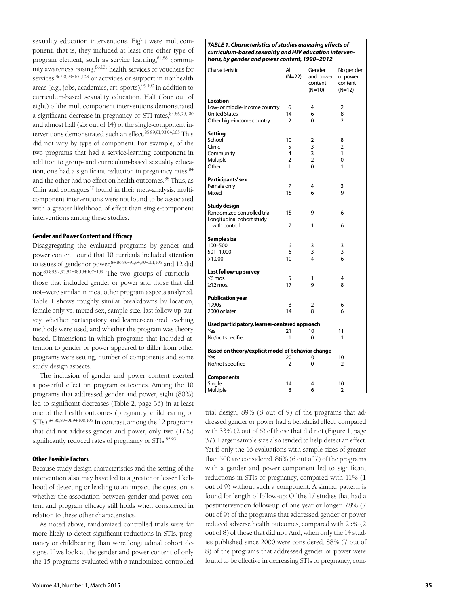sexuality education interventions. Eight were multicomponent, that is, they included at least one other type of program element, such as service learning,84,88 community awareness raising,86,101 health services or vouchers for services, 86,90,99-101,108 or activities or support in nonhealth areas (e.g., jobs, academics, art, sports), 99,100 in addition to curriculum-based sexuality education. Half (four out of eight) of the multicomponent interventions demonstrated a significant decrease in pregnancy or STI rates, 84,86,90,100 and almost half (six out of 14) of the single-component interventions demonstrated such an effect.85,89,91,93,94,105 This did not vary by type of component. For example, of the two programs that had a service-learning component in addition to group- and curriculum-based sexuality education, one had a significant reduction in pregnancy rates, 84 and the other had no effect on health outcomes.<sup>88</sup> Thus, as Chin and colleagues $^{17}$  found in their meta-analysis, multicomponent interventions were not found to be associated with a greater likelihood of effect than single-component interventions among these studies.

# **Gender and Power Content and Efficacy**

Disaggregating the evaluated programs by gender and power content found that 10 curricula included attention to issues of gender or power, 84,86,89-91,94,99-101,105 and 12 did not.85,88,92,93,95–98,104,107–109 The two groups of curricula those that included gender or power and those that did not—were similar in most other program aspects analyzed. Table 1 shows roughly similar breakdowns by location, female-only vs. mixed sex, sample size, last follow-up survey, whether participatory and learner-centered teaching methods were used, and whether the program was theory based. Dimensions in which programs that included attention to gender or power appeared to differ from other programs were setting, number of components and some study design aspects.

The inclusion of gender and power content exerted a powerful effect on program outcomes. Among the 10 programs that addressed gender and power, eight (80%) led to significant decreases (Table 2, page 36) in at least one of the health outcomes (pregnancy, childbearing or STIs).<sup>84,86,89-91,94,100,105</sup> In contrast, among the 12 programs that did not address gender and power, only two (17%) significantly reduced rates of pregnancy or STIs.<sup>85,93</sup>

## **Other Possible Factors**

Because study design characteristics and the setting of the intervention also may have led to a greater or lesser likelihood of detecting or leading to an impact, the question is whether the association between gender and power content and program efficacy still holds when considered in relation to these other characteristics.

As noted above, randomized controlled trials were far more likely to detect significant reductions in STIs, pregnancy or childbearing than were longitudinal cohort designs. If we look at the gender and power content of only the 15 programs evaluated with a randomized controlled

#### *TABLE 1. Characteristics of studies assessing effects of curriculum-based sexuality and HIV education interventions, by gender and power content, 1990–2012*

| Characteristic                                    | All<br>$(N=22)$ | Gender<br>and power<br>content<br>$(N=10)$ | No gender<br>or power<br>content<br>$(N=12)$ |
|---------------------------------------------------|-----------------|--------------------------------------------|----------------------------------------------|
| Location                                          |                 |                                            |                                              |
| Low- or middle-income country                     | 6               | 4                                          | 2                                            |
| <b>United States</b>                              | 14              | 6                                          | 8                                            |
| Other high-income country                         | $\overline{2}$  | $\Omega$                                   | $\overline{2}$                               |
| <b>Setting</b>                                    |                 |                                            |                                              |
| School                                            | 10              | $\overline{2}$                             | 8                                            |
| Clinic                                            | 5               | 3                                          | $\overline{2}$                               |
| Community                                         | 4               | 3                                          | 1                                            |
|                                                   | $\overline{2}$  | $\overline{2}$                             | 0                                            |
| Multiple                                          |                 |                                            |                                              |
| Other                                             | 1               | 0                                          | 1                                            |
| Participants' sex                                 |                 |                                            |                                              |
| Female only                                       | 7               | 4                                          | 3                                            |
| Mixed                                             | 15              | 6                                          | 9                                            |
| <b>Study design</b>                               |                 |                                            |                                              |
| Randomized controlled trial                       | 15              | 9                                          | 6                                            |
| Longitudinal cohort study                         |                 |                                            |                                              |
| with control                                      | 7               | 1                                          | 6                                            |
| Sample size                                       |                 |                                            |                                              |
| 100-500                                           | 6               | 3                                          | 3                                            |
| $501 - 1,000$                                     | 6               | 3                                          | 3                                            |
|                                                   | 10              | 4                                          | 6                                            |
| >1,000                                            |                 |                                            |                                              |
| Last follow-up survey                             |                 |                                            |                                              |
| $\leq$ 6 mos.                                     | 5               | 1                                          | 4                                            |
| $\geq$ 12 mos.                                    | 17              | 9                                          | 8                                            |
| <b>Publication year</b>                           |                 |                                            |                                              |
| 1990s                                             | 8               | 2                                          | 6                                            |
| 2000 or later                                     | 14              | 8                                          | 6                                            |
| Used participatory, learner-centered approach     |                 |                                            |                                              |
| Yes                                               | 21              | 10                                         | 11                                           |
| No/not specified                                  | 1               | 0                                          | 1                                            |
| Based on theory/explicit model of behavior change |                 |                                            |                                              |
| Yes                                               | 20              | 10                                         | 10                                           |
|                                                   |                 | $\Omega$                                   |                                              |
| No/not specified                                  | 2               |                                            | 2                                            |
| <b>Components</b>                                 |                 |                                            |                                              |
| Single                                            | 14              | 4                                          | 10                                           |
| Multiple                                          | 8               | 6                                          | 2                                            |

trial design, 89% (8 out of 9) of the programs that addressed gender or power had a beneficial effect, compared with 33% (2 out of 6) of those that did not (Figure 1, page 37). Larger sample size also tended to help detect an effect. Yet if only the 16 evaluations with sample sizes of greater than 500 are considered, 86% (6 out of 7) of the programs with a gender and power component led to significant reductions in STIs or pregnancy, compared with 11% (1 out of 9) without such a component. A similar pattern is found for length of follow-up: Of the 17 studies that had a postintervention follow-up of one year or longer, 78% (7 out of 9) of the programs that addressed gender or power reduced adverse health outcomes, compared with 25% (2 out of 8) of those that did not. And, when only the 14 studies published since 2000 were considered, 88% (7 out of 8) of the programs that addressed gender or power were found to be effective in decreasing STIs or pregnancy, com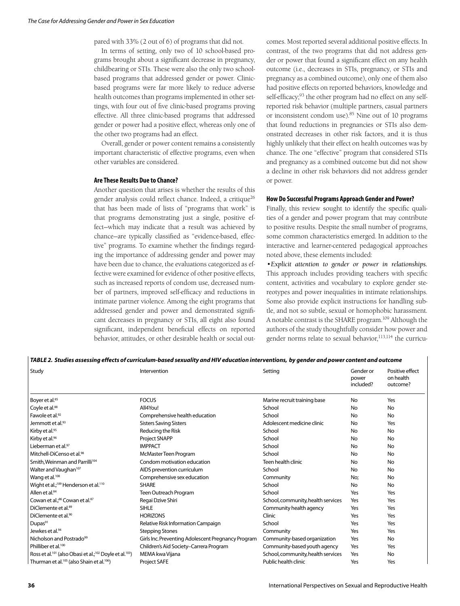pared with 33% (2 out of 6) of programs that did not.

In terms of setting, only two of 10 school-based programs brought about a significant decrease in pregnancy, childbearing or STIs. These were also the only two schoolbased programs that addressed gender or power. Clinicbased programs were far more likely to reduce adverse health outcomes than programs implemented in other settings, with four out of five clinic-based programs proving effective. All three clinic-based programs that addressed gender or power had a positive effect, whereas only one of the other two programs had an effect.

Overall, gender or power content remains a consistently important characteristic of effective programs, even when other variables are considered.

## **Are These Results Due to Chance?**

Another question that arises is whether the results of this gender analysis could reflect chance. Indeed, a critique<sup>26</sup> that has been made of lists of "programs that work" is that programs demonstrating just a single, positive effect—which may indicate that a result was achieved by chance—are typically classified as "evidence-based, effective" programs. To examine whether the findings regarding the importance of addressing gender and power may have been due to chance, the evaluations categorized as effective were examined for evidence of other positive effects, such as increased reports of condom use, decreased number of partners, improved self-efficacy and reductions in intimate partner violence. Among the eight programs that addressed gender and power and demonstrated significant decreases in pregnancy or STIs, all eight also found significant, independent beneficial effects on reported behavior, attitudes, or other desirable health or social out-

comes. Most reported several additional positive effects. In contrast, of the two programs that did not address gender or power that found a significant effect on any health outcome (i.e., decreases in STIs, pregnancy, or STIs and pregnancy as a combined outcome), only one of them also had positive effects on reported behaviors, knowledge and self-efficacy;<sup>93</sup> the other program had no effect on any selfreported risk behavior (multiple partners, casual partners or inconsistent condom use).85 Nine out of 10 programs that found reductions in pregnancies or STIs also demonstrated decreases in other risk factors, and it is thus highly unlikely that their effect on health outcomes was by chance. The one "effective" program that considered STIs and pregnancy as a combined outcome but did not show a decline in other risk behaviors did not address gender or power.

#### **How Do Successful Programs Approach Gender and Power?**

Finally, this review sought to identify the specific qualities of a gender and power program that may contribute to positive results. Despite the small number of programs, some common characteristics emerged. In addition to the interactive and learner-centered pedagogical approaches noted above, these elements included:

*•Explicit attention to gender or power in relationships.*  This approach includes providing teachers with specific content, activities and vocabulary to explore gender stereotypes and power inequalities in intimate relationships. Some also provide explicit instructions for handling subtle, and not so subtle, sexual or homophobic harassment. A notable contrast is the SHARE program.<sup>109</sup> Although the authors of the study thoughtfully consider how power and gender norms relate to sexual behavior,<sup>113,114</sup> the curricu-

| Study                                                                                       | Intervention                                       | Setting                            | Gender or<br>power<br>included? | Positive effect<br>on health<br>outcome? |
|---------------------------------------------------------------------------------------------|----------------------------------------------------|------------------------------------|---------------------------------|------------------------------------------|
| Boyer et al. <sup>85</sup>                                                                  | <b>FOCUS</b>                                       | Marine recruit training base       | No                              | Yes                                      |
| Coyle et al. <sup>88</sup>                                                                  | All4You!                                           | School                             | <b>No</b>                       | No                                       |
| Fawole et al. <sup>92</sup>                                                                 | Comprehensive health education                     | School                             | No                              | No                                       |
| Jemmott et al. <sup>93</sup>                                                                | <b>Sisters Saving Sisters</b>                      | Adolescent medicine clinic         | No                              | Yes                                      |
| Kirby et al. <sup>95</sup>                                                                  | Reducing the Risk                                  | School                             | No                              | No                                       |
| Kirby et al. <sup>96</sup>                                                                  | Project SNAPP                                      | School                             | No                              | No                                       |
| Lieberman et al.97                                                                          | <b>IMPPACT</b>                                     | School                             | No                              | No                                       |
| Mitchell-DiCenso et al. <sup>98</sup>                                                       | McMaster Teen Program                              | School                             | No                              | No                                       |
| Smith, Weinman and Parrilli <sup>104</sup>                                                  | Condom motivation education                        | Teen health clinic                 | <b>No</b>                       | No                                       |
| Walter and Vaughan <sup>107</sup>                                                           | AIDS prevention curriculum                         | School                             | No                              | No                                       |
| Wang et al. <sup>108</sup>                                                                  | Comprehensive sex education                        | Community                          | No;                             | No                                       |
| Wight et al.; <sup>109</sup> Henderson et al. <sup>110</sup>                                | <b>SHARE</b>                                       | School                             | No                              | No                                       |
| Allen et al. <sup>84</sup>                                                                  | Teen Outreach Program                              | School                             | Yes                             | Yes                                      |
| Cowan et al.; <sup>86</sup> Cowan et al. <sup>87</sup>                                      | Regai Dzive Shiri                                  | School, community, health services | Yes                             | Yes                                      |
| DiClemente et al. <sup>89</sup>                                                             | <b>SIHLE</b>                                       | Community health agency            | Yes                             | Yes                                      |
| DiClemente et al. <sup>90</sup>                                                             | <b>HORIZONS</b>                                    | Clinic                             | Yes                             | Yes                                      |
| Dupas <sup>91</sup>                                                                         | Relative Risk Information Campaign                 | School                             | Yes                             | Yes                                      |
| Jewkes et al. <sup>94</sup>                                                                 | <b>Stepping Stones</b>                             | Community                          | Yes                             | Yes                                      |
| Nicholson and Postrado <sup>99</sup>                                                        | Girls Inc. Preventing Adolescent Pregnancy Program | Community-based organization       | Yes                             | <b>No</b>                                |
| Philliber et al. <sup>100</sup>                                                             | Children's Aid Society-Carrera Program             | Community-based youth agency       | Yes                             | Yes                                      |
| Ross et al. <sup>101</sup> (also Obasi et al.; <sup>102</sup> Doyle et al. <sup>103</sup> ) | MEMA kwa Vijana                                    | School, community, health services | Yes                             | No                                       |
| Thurman et al. <sup>105</sup> (also Shain et al. <sup>106</sup> )                           | Project SAFE                                       | Public health clinic               | Yes                             | Yes                                      |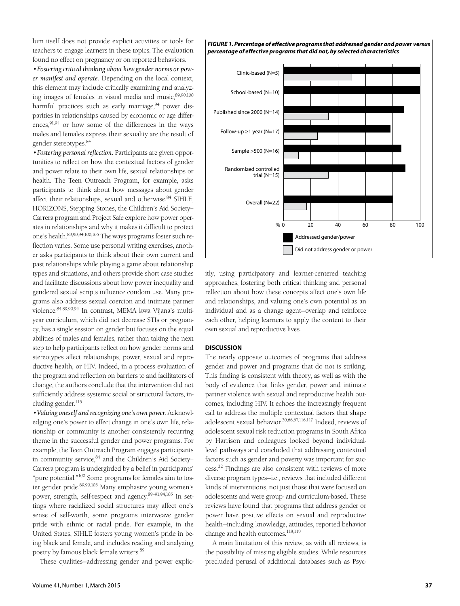lum itself does not provide explicit activities or tools for teachers to engage learners in these topics. The evaluation found no effect on pregnancy or on reported behaviors.

*•Fostering critical thinking about how gender norms or power manifest and operate.* Depending on the local context, this element may include critically examining and analyzing images of females in visual media and music, 89,90,100 harmful practices such as early marriage,  $94$  power disparities in relationships caused by economic or age differences, $91,94$  or how some of the differences in the ways males and females express their sexuality are the result of gender stereotypes.84

*•Fostering personal reflection.* Participants are given opportunities to reflect on how the contextual factors of gender and power relate to their own life, sexual relationships or health. The Teen Outreach Program, for example, asks participants to think about how messages about gender affect their relationships, sexual and otherwise.<sup>84</sup> SIHLE, HORIZONS, Stepping Stones, the Children's Aid Society– Carrera program and Project Safe explore how power operates in relationships and why it makes it difficult to protect one's health.89,90,94,100,105 The ways programs foster such reflection varies. Some use personal writing exercises, another asks participants to think about their own current and past relationships while playing a game about relationship types and situations, and others provide short case studies and facilitate discussions about how power inequality and gendered sexual scripts influence condom use. Many programs also address sexual coercion and intimate partner violence.84,89,90,94 In contrast, MEMA kwa Vijana's multiyear curriculum, which did not decrease STIs or pregnancy, has a single session on gender but focuses on the equal abilities of males and females, rather than taking the next step to help participants reflect on how gender norms and stereotypes affect relationships, power, sexual and reproductive health, or HIV. Indeed, in a process evaluation of the program and reflection on barriers to and facilitators of change, the authors conclude that the intervention did not sufficiently address systemic social or structural factors, including gender.<sup>115</sup>

*•Valuing oneself and recognizing one's own power.* Acknowledging one's power to effect change in one's own life, relationship or community is another consistently recurring theme in the successful gender and power programs. For example, the Teen Outreach Program engages participants in community service,  $84$  and the Children's Aid Society-Carrera program is undergirded by a belief in participants' "pure potential."100 Some programs for females aim to foster gender pride.<sup>89,90,105</sup> Many emphasize young women's power, strength, self-respect and agency.89–91,94,105 In settings where racialized social structures may affect one's sense of self-worth, some programs interweave gender pride with ethnic or racial pride. For example, in the United States, SIHLE fosters young women's pride in being black and female, and includes reading and analyzing poetry by famous black female writers.89

These qualities—addressing gender and power explic-

*FIGURE 1. Percentage of effective programs that addressed gender and power versus percentage of effective programs that did not, by selected characteristics*



itly, using participatory and learner-centered teaching approaches, fostering both critical thinking and personal reflection about how these concepts affect one's own life and relationships, and valuing one's own potential as an individual and as a change agent—overlap and reinforce each other, helping learners to apply the content to their own sexual and reproductive lives.

## **DISCUSSION**

The nearly opposite outcomes of programs that address gender and power and programs that do not is striking. This finding is consistent with theory, as well as with the body of evidence that links gender, power and intimate partner violence with sexual and reproductive health outcomes, including HIV. It echoes the increasingly frequent call to address the multiple contextual factors that shape adolescent sexual behavior.<sup>30,66,67,116,117</sup> Indeed, reviews of adolescent sexual risk reduction programs in South Africa by Harrison and colleagues looked beyond individuallevel pathways and concluded that addressing contextual factors such as gender and poverty was important for success.22 Findings are also consistent with reviews of more diverse program types—i.e., reviews that included different kinds of interventions, not just those that were focused on adolescents and were group- and curriculum-based. These reviews have found that programs that address gender or power have positive effects on sexual and reproductive health—including knowledge, attitudes, reported behavior change and health outcomes.<sup>118,119</sup>

A main limitation of this review, as with all reviews, is the possibility of missing eligible studies. While resources precluded perusal of additional databases such as Psyc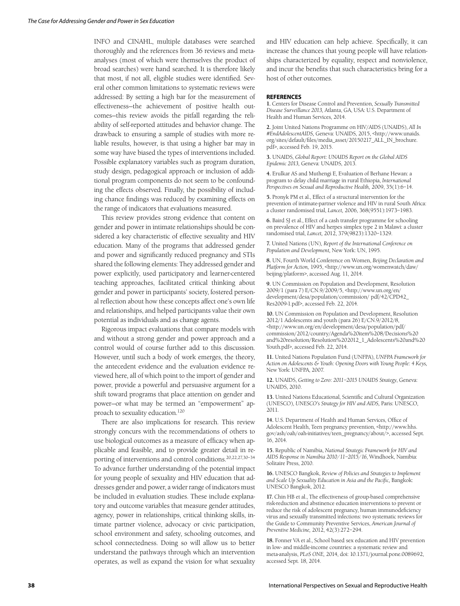INFO and CINAHL, multiple databases were searched thoroughly and the references from 36 reviews and metaanalyses (most of which were themselves the product of broad searches) were hand searched. It is therefore likely that most, if not all, eligible studies were identified. Several other common limitations to systematic reviews were addressed: By setting a high bar for the measurement of effectiveness—the achievement of positive health outcomes—this review avoids the pitfall regarding the reliability of self-reported attitudes and behavior change. The drawback to ensuring a sample of studies with more reliable results, however, is that using a higher bar may in some way have biased the types of interventions included. Possible explanatory variables such as program duration, study design, pedagogical approach or inclusion of additional program components do not seem to be confounding the effects observed. Finally, the possibility of including chance findings was reduced by examining effects on the range of indicators that evaluations measured.

This review provides strong evidence that content on gender and power in intimate relationships should be considered a key characteristic of effective sexuality and HIV education. Many of the programs that addressed gender and power and significantly reduced pregnancy and STIs shared the following elements: They addressed gender and power explicitly, used participatory and learner-centered teaching approaches, facilitated critical thinking about gender and power in participants' society, fostered personal reflection about how these concepts affect one's own life and relationships, and helped participants value their own potential as individuals and as change agents.

Rigorous impact evaluations that compare models with and without a strong gender and power approach and a control would of course further add to this discussion. However, until such a body of work emerges, the theory, the antecedent evidence and the evaluation evidence reviewed here, all of which point to the import of gender and power, provide a powerful and persuasive argument for a shift toward programs that place attention on gender and power—or what may be termed an "empowerment" approach to sexuality education.120

There are also implications for research. This review strongly concurs with the recommendations of others to use biological outcomes as a measure of efficacy when applicable and feasible, and to provide greater detail in reporting of interventions and control conditions.20,22,27,30–34 To advance further understanding of the potential impact for young people of sexuality and HIV education that addresses gender and power, a wider range of indicators must be included in evaluation studies. These include explanatory and outcome variables that measure gender attitudes, agency, power in relationships, critical thinking skills, intimate partner violence, advocacy or civic participation, school environment and safety, schooling outcomes, and school connectedness. Doing so will allow us to better understand the pathways through which an intervention operates, as well as expand the vision for what sexuality and HIV education can help achieve. Specifically, it can increase the chances that young people will have relationships characterized by equality, respect and nonviolence, and incur the benefits that such characteristics bring for a host of other outcomes.

#### **REFERENCES**

**1.** Centers for Disease Control and Prevention, *Sexually Transmitted Disease Surveillance 2013,* Atlanta, GA, USA: U.S. Department of Health and Human Services, 2014.

**2.** Joint United Nations Programme on HIV/AIDS (UNAIDS), *All In #EndAdolescentAIDS,* Geneva: UNAIDS, 2015, <http://www.unaids. org/sites/default/files/media\_asset/20150217\_ALL\_IN\_brochure. pdf>, accessed Feb. 19, 2015.

**3.** UNAIDS, *Global Report: UNAIDS Report on the Global AIDS Epidemic 2013,* Geneva: UNAIDS, 2013.

**4.** Erulkar AS and Muthengi E, Evaluation of Berhane Hewan: a program to delay child marriage in rural Ethiopia, *International Perspectives on Sexual and Reproductive Health,* 2009, 35(1):6–14.

**5.** Pronyk PM et al., Effect of a structural intervention for the prevention of intimate-partner violence and HIV in rural South Africa: a cluster randomised trial, *Lancet,* 2006, 368(9551):1973–1983.

**6.** Baird SJ et al., Effect of a cash transfer programme for schooling on prevalence of HIV and herpes simplex type 2 in Malawi: a cluster randomised trial, *Lancet,* 2012, 379(9823):1320–1329.

**7.** United Nations (UN), *Report of the International Conference on Population and Development,* New York: UN, 1995.

**8.** UN, Fourth World Conference on Women, *Beijing Declaration and Platform for Action,* 1995, <http://www.un.org/womenwatch/daw/ beijing/platform>, accessed Aug. 11, 2014.

**9.** UN Commission on Population and Development, Resolution 2009/1 (para 7) E/CN.9/2009/5, <http://www.un.org/en/ development/desa/population/commission/ pdf/42/CPD42\_ Res2009-1.pdf>, accessed Feb. 22, 2014.

**10.** UN Commission on Population and Development, Resolution 2012/1 Adolescents and youth (para 26) E/CN.9/2012/8, <http://www.un.org/en/development/desa/population/pdf/ commission/2012/country/Agenda%20item%208/Decisions%20 and%20resolution/Resolution%202012\_1\_Adolescents%20and%20 Youth.pdf>, accessed Feb. 22, 2014.

**11.** United Nations Population Fund (UNFPA), *UNFPA Framework for Action on Adolescents & Youth: Opening Doors with Young People: 4 Keys,* New York: UNFPA, 2007.

**12.** UNAIDS, *Getting to Zero: 2011–2015 UNAIDS Strategy*, Geneva: UNAIDS, 2010.

**13.** United Nations Educational, Scientific and Cultural Organization (UNESCO), *UNESCO's Strategy for HIV and AIDS,* Paris: UNESCO, 2011.

**14.** U.S. Department of Health and Human Services, Office of Adolescent Health, Teen pregnancy prevention, <http://www.hhs. gov/ash/oah/oah-initiatives/teen\_pregnancy/about/>, accessed Sept. 16, 2014.

**15.** Republic of Namibia, *National Strategic Framework for HIV and AIDS Response in Namibia 2010/11–2015/16*, Windhoek, Namibia: Solitaire Press, 2010.

**16.** UNESCO Bangkok, *Review of Policies and Strategies to Implement and Scale Up Sexuality Education in Asia and the Pacific,* Bangkok: UNESCO Bangkok, 2012.

**17.** Chin HB et al., The effectiveness of group-based comprehensive risk-reduction and abstinence education interventions to prevent or reduce the risk of adolescent pregnancy, human immunodeficiency virus and sexually transmitted infections: two systematic reviews for the Guide to Community Preventive Services, *American Journal of Preventive Medicine,* 2012, 42(3):272–294.

**18.** Fonner VA et al., School based sex education and HIV prevention in low- and middle-income countries: a systematic review and meta-analysis, *PLoS ONE,* 2014, doi: 10.1371/journal.pone.0089692, accessed Sept. 18, 2014.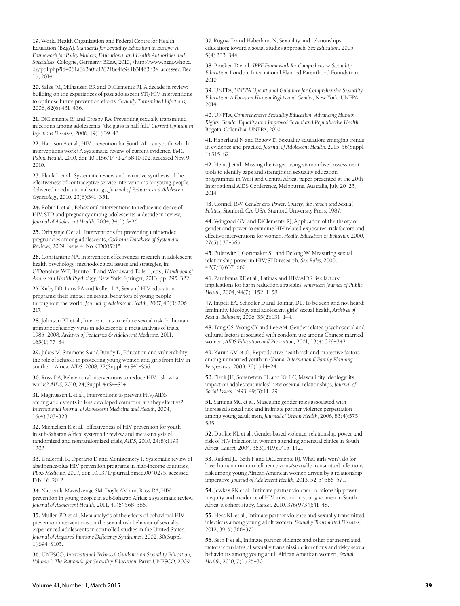**19.** World Health Organization and Federal Centre for Health Education (BZgA), *Standards for Sexuality Education in Europe: A Framework for Policy Makers, Educational and Health Authorities and Specialists,* Cologne, Germany: BZgA, 2010, <http://www.bzga-whocc. de/pdf.php?id=061a863a0fdf28218e4fe9e1b3f463b3>, accessed Dec. 15, 2014.

**20.** Sales JM, Milhausen RR and DiClemente RJ, A decade in review: building on the experiences of past adolescent STI/HIV interventions to optimise future prevention efforts, *Sexually Transmitted Infections,* 2006, 82(6):431–436.

**21.** DiClemente RJ and Crosby RA, Preventing sexually transmitted infections among adolescents: 'the glass is half full,' *Current Opinion in Infectious Diseases,* 2006, 19(1):39–43.

**22.** Harrison A et al., HIV prevention for South African youth: which interventions work? A systematic review of current evidence, *BMC Public Health,* 2010, doi: 10.1186/1471-2458-10-102, accessed Nov. 9, 2010.

**23.** Blank L et al., Systematic review and narrative synthesis of the effectiveness of contraceptive service interventions for young people, delivered in educational settings, *Journal of Pediatric and Adolescent Gynecology,* 2010, 23(6):341–351.

**24.** Robin L et al., Behavioral interventions to reduce incidence of HIV, STD and pregnancy among adolescents: a decade in review, *Journal of Adolescent Health,* 2004, 34(1):3–26.

**25.** Oringanje C et al., Interventions for preventing unintended pregnancies among adolescents, *Cochrane Database of Systematic Reviews,* 2009, Issue 4, No. CD005215.

**26.** Constantine NA, Intervention effectiveness research in adolescent health psychology: methodological issues and strategies, in: O'Donohue WT, Benuto LT and Woodward Tolle L, eds., *Handbook of Adolescent Health Psychology,* New York: Springer, 2013, pp. 295–322.

**27.** Kirby DB, Laris BA and Rolleri LA, Sex and HIV education programs: their impact on sexual behaviors of young people throughout the world, *Journal of Adolescent Health,* 2007, 40(3):206– 217.

**28.** Johnson BT et al., Interventions to reduce sexual risk for human immunodeficiency virus in adolescents: a meta-analysis of trials, 1985–2008, *Archives of Pediatrics & Adolescent Medicine,* 2011, 165(1):77–84.

**29.** Jukes M, Simmons S and Bundy D, Education and vulnerability: the role of schools in protecting young women and girls from HIV in southern Africa, *AIDS,* 2008, 22(Suppl. 4):S41–S56.

**30.** Ross DA, Behavioural interventions to reduce HIV risk: what works? *AIDS,* 2010, 24(Suppl. 4):S4–S14.

**31.** Magnussen L et al., Interventions to prevent HIV/AIDS among adolescents in less developed countries: are they effective? *International Journal of Adolescent Medicine and Health,* 2004, 16(4):303–323.

**32.** Michielsen K et al., Effectiveness of HIV prevention for youth in sub-Saharan Africa: systematic review and meta-analysis of randomized and nonrandomized trials, *AIDS,* 2010, 24(8):1193– 1202.

**33.** Underhill K, Operario D and Montgomery P, Systematic review of abstinence-plus HIV prevention programs in high-income countries, *PLoS Medicine,* 2007, doi: 10.1371/journal.pmed.0040275, accessed Feb. 16, 2012.

**34.** Napierala Mavedzenge SM, Doyle AM and Ross DA, HIV prevention in young people in sub-Saharan Africa: a systematic review, *Journal of Adolescent Health,* 2011, 49(6):568–586.

**35.** Mullen PD et al., Meta-analysis of the effects of behavioral HIV prevention interventions on the sexual risk behavior of sexually experienced adolescents in controlled studies in the United States, *Journal of Acquired Immune Deficiency Syndromes,* 2002, 30(Suppl. 1):S94–S105.

**36.** UNESCO, *International Technical Guidance on Sexuality Education, Volume I: The Rationale for Sexuality Education,* Paris: UNESCO, 2009.

**37.** Rogow D and Haberland N, Sexuality and relationships education: toward a social studies approach, *Sex Education,* 2005, 5(4):333–344.

**38.** Braeken D et al., *IPPF Framework for Comprehensive Sexuality Education,* London: International Planned Parenthood Foundation, 2010.

**39.** UNFPA, *UNFPA Operational Guidance for Comprehensive Sexuality Education: A Focus on Human Rights and Gender,* New York: UNFPA, 2014.

**40.** UNFPA, *Comprehensive Sexuality Education: Advancing Human Rights, Gender Equality and Improved Sexual and Reproductive Health,*  Bogotá, Colombia: UNFPA, 2010.

**41.** Haberland N and Rogow D, Sexuality education: emerging trends in evidence and practice, *Journal of Adolescent Health,* 2015, 56(Suppl. 1):S15–S21.

**42.** Herat J et al., Missing the target: using standardised assessment tools to identify gaps and strengths in sexuality education programmes in West and Central Africa, paper presented at the 20th International AIDS Conference, Melbourne, Australia, July 20–25, 2014.

**43.** Connell RW, *Gender and Power: Society, the Person and Sexual Politics,* Stanford, CA, USA: Stanford University Press, 1987.

**44.** Wingood GM and DiClemente RJ, Application of the theory of gender and power to examine HIV-related exposures, risk factors and effective interventions for women, *Health Education & Behavior,* 2000, 27(5):539–565.

**45.** Pulerwitz J, Gortmaker SL and DeJong W, Measuring sexual relationship power in HIV/STD research, *Sex Roles,* 2000, 42(7/8):637–660.

**46.** Zambrana RE et al., Latinas and HIV/AIDS risk factors: implications for harm reduction strategies, *American Journal of Public Health,* 2004, 94(7):1152–1158.

**47.** Impett EA, Schooler D and Tolman DL, To be seen and not heard: femininity ideology and adolescent girls' sexual health, *Archives of Sexual Behavior,* 2006, 35(2):131–144.

**48.** Tang CS, Wong CY and Lee AM, Gender-related psychosocial and cultural factors associated with condom use among Chinese married women, *AIDS Education and Prevention,* 2001, 13(4):329–342.

**49.** Karim AM et al., Reproductive health risk and protective factors among unmarried youth in Ghana, *International Family Planning Perspectives,* 2003, 29(1):14–24.

**50.** Pleck JH, Sonenstein FL and Ku LC, Masculinity ideology: its impact on adolescent males' heterosexual relationships, *Journal of Social Issues,* 1993, 49(3):11–29.

**51.** Santana MC et al., Masculine gender roles associated with increased sexual risk and intimate partner violence perpetration among young adult men, *Journal of Urban Health*, 2006, 83(4):575– 585.

**52.** Dunkle KL et al., Gender-based violence, relationship power and risk of HIV infection in women attending antenatal clinics in South Africa, *Lancet,* 2004, 363(9419):1415–1421.

**53.** Raiford JL, Seth P and DiClemente RJ, What girls won't do for love: human immunodeficiency virus/sexually transmitted infections risk among young African-American women driven by a relationship imperative, *Journal of Adolescent Health,* 2013, 52(5):566–571.

**54.** Jewkes RK et al., Intimate partner violence, relationship power inequity and incidence of HIV infection in young women in South Africa: a cohort study, *Lancet,* 2010, 376(9734):41–48.

**55.** Hess KL et al., Intimate partner violence and sexually transmitted infections among young adult women, *Sexually Transmitted Diseases,* 2012, 39(5):366–371.

**56.** Seth P et al., Intimate partner violence and other partner-related factors: correlates of sexually transmissible infections and risky sexual behaviours among young adult African American women, *Sexual Health,* 2010, 7(1):25–30.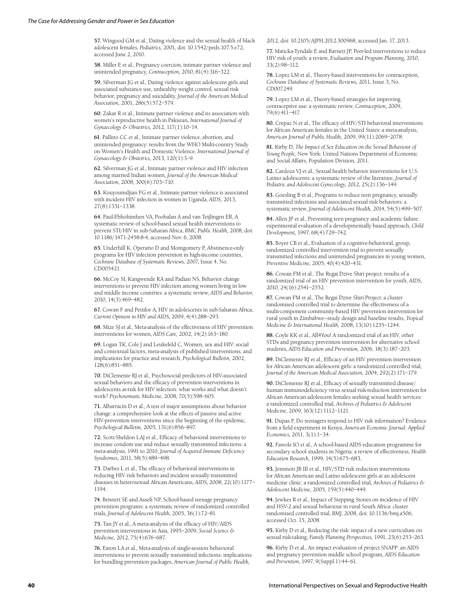**57.** Wingood GM et al., Dating violence and the sexual health of black adolescent females, *Pediatrics,* 2001, doi: 10.1542/peds.107.5.e72, accessed June 2, 2010.

**58.** Miller E et al., Pregnancy coercion, intimate partner violence and unintended pregnancy, *Contraception,* 2010, 81(4):316–322.

**59.** Silverman JG et al., Dating violence against adolescent girls and associated substance use, unhealthy weight control, sexual risk behavior, pregnancy and suicidality, *Journal of the American Medical Association,* 2001, 286(5):572–579.

**60.** Zakar R et al., Intimate partner violence and its association with women's reproductive health in Pakistan, *International Journal of Gynaecology & Obstetrics,* 2012, 117(1):10–14.

**61.** Pallitto CC et al., Intimate partner violence, abortion, and unintended pregnancy: results from the WHO Multi-country Study on Women's Health and Domestic Violence, *International Journal of Gynaecology & Obstetrics,* 2013, 120(1):3–9.

**62.** Silverman JG et al., Intimate partner violence and HIV infection among married Indian women, *Journal of the American Medical Association,* 2008, 300(6):703–710.

**63.** Kouyoumdjian FG et al., Intimate partner violence is associated with incident HIV infection in women in Uganda, *AIDS,* 2013, 27(8):1331–1338.

**64.** Paul-Ebhohimhen VA, Poobalan A and van Teijlingen ER, A systematic review of school-based sexual health interventions to prevent STI/HIV in sub-Saharan Africa, *BMC Public Health,* 2008, doi: 10.1186/1471-2458-8-4, accessed Nov. 6, 2008.

**65.** Underhill K, Operario D and Montgomery P, Abstinence-only programs for HIV infection prevention in high-income countries, *Cochrane Database of Systematic Reviews,* 2007, Issue 4, No. CD005421.

**66.** McCoy SI, Kangwende RA and Padian NS, Behavior change interventions to prevent HIV infection among women living in low and middle income countries: a systematic review, *AIDS and Behavior,* 2010, 14(3):469–482.

**67.** Cowan F and Pettifor A, HIV in adolescents in sub-Saharan Africa, *Current Opinion in HIV and AIDS,* 2009, 4(4):288–293.

**68.** Mize SJ et al., Meta-analysis of the effectiveness of HIV prevention interventions for women, *AIDS Care,* 2002, 14(2):163–180.

**69.** Logan TK, Cole J and Leukefeld C, Women, sex and HIV: social and contextual factors, meta-analysis of published interventions, and implications for practice and research, *Psychological Bulletin,* 2002, 128(6):851–885.

**70.** DiClemente RJ et al., Psychosocial predictors of HIV-associated sexual behaviors and the efficacy of prevention interventions in adolescents at-risk for HIV infection: what works and what doesn't work? *Psychosomatic Medicine,* 2008, 70(5):598–605.

**71.** Albarracín D et al., A test of major assumptions about behavior change: a comprehensive look at the effects of passive and active HIV-prevention interventions since the beginning of the epidemic, *Psychological Bulletin,* 2005, 131(6):856–897.

**72.** Scott-Sheldon LAJ et al., Efficacy of behavioral interventions to increase condom use and reduce sexually transmitted infections: a meta-analysis, 1991 to 2010, *Journal of Acquired Immune Deficiency Syndromes,* 2011, 58(5):489–498.

**73.** Darbes L et al., The efficacy of behavioral interventions in reducing HIV risk behaviors and incident sexually transmitted diseases in heterosexual African Americans, *AIDS,* 2008, 22(10):1177– 1194.

**74.** Bennett SE and Assefi NP, School-based teenage pregnancy prevention programs: a systematic review of randomized controlled trials, *Journal of Adolescent Health,* 2005, 36(1):72–81.

**75.** Tan JY et al., A meta-analysis of the efficacy of HIV/AIDS prevention interventions in Asia, 1995–2009, *Social Science & Medicine,* 2012, 75(4):676–687.

**76.** Eaton LA et al., Meta-analysis of single-session behavioral interventions to prevent sexually transmitted infections: implications for bundling prevention packages, *American Journal of Public Health,*

2012, doi: 10.2105/AJPH.2012.300968, accessed Jan. 17, 2013.

**77.** Maticka-Tyndale E and Barnett JP, Peer-led interventions to reduce HIV risk of youth: a review, *Evaluation and Program Planning,* 2010, 33(2):98–112.

**78.** Lopez LM et al., Theory-based interventions for contraception, *Cochrane Database of Systematic Reviews,* 2011, Issue 3, No. CD007249.

**79.** Lopez LM et al., Theory-based strategies for improving contraceptive use: a systematic review, *Contraception,* 2009, 79(6):411–417.

**80.** Crepaz N et al., The efficacy of HIV/STI behavioral interventions for African American females in the United States: a meta-analysis, *American Journal of Public Health,* 2009, 99(11):2069–2078.

**81.** Kirby D, *The Impact of Sex Education on the Sexual Behaviour of Young People,* New York: United Nations Department of Economic and Social Affairs, Population Division, 2011.

**82.** Cardoza VJ et al., Sexual health behavior interventions for U.S. Latino adolescents: a systematic review of the literature, *Journal of Pediatric and Adolescent Gynecology,* 2012, 25(2):136–149.

**83.** Goesling B et al., Programs to reduce teen pregnancy, sexually transmitted infections and associated sexual risk behaviors: a systematic review, *Journal of Adolescent Health,* 2014, 54(5):499–507.

**84.** Allen JP et al., Preventing teen pregnancy and academic failure: experimental evaluation of a developmentally based approach, *Child Development,* 1997, 68(4):729–742.

**85.** Boyer CB et al., Evaluation of a cognitive-behavioral, group, randomized controlled intervention trial to prevent sexually transmitted infections and unintended pregnancies in young women, *Preventive Medicine,* 2005, 40(4):420–431.

**86.** Cowan FM et al., The Regai Dzive Shiri project: results of a randomized trial of an HIV prevention intervention for youth, *AIDS,* 2010, 24(16):2541–2552.

**87.** Cowan FM et al., The Regai Dzive Shiri Project: a cluster randomised controlled trial to determine the effectiveness of a multi-component community-based HIV prevention intervention for rural youth in Zimbabwe—study design and baseline results, *Tropical Medicine & International Health,* 2008, 13(10):1235–1244.

**88.** Coyle KK et al., All4You! A randomized trial of an HIV, other STDs and pregnancy prevention intervention for alternative school students, *AIDS Education and Prevention,* 2006, 18(3):187–203.

**89.** DiClemente RJ et al., Efficacy of an HIV prevention intervention for African American adolescent girls: a randomized controlled trial, *Journal of the American Medical Association,* 2004, 292(2):171–179.

**90.** DiClemente RJ et al., Efficacy of sexually transmitted disease/ human immunodeficiency virus sexual risk-reduction intervention for African American adolescent females seeking sexual health services: a randomized controlled trial, *Archives of Pediatrics & Adolescent Medicine,* 2009, 163(12):1112–1121.

**91.** Dupas P, Do teenagers respond to HIV risk information? Evidence from a field experiment in Kenya, *American Economic Journal: Applied Economics,* 2011, 3(1):1–34.

**92.** Fawole IO et al., A school-based AIDS education programme for secondary school students in Nigeria: a review of effectiveness, *Health Education Research,* 1999, 14(5):675–683.

**93.** Jemmott JB III et al., HIV/STD risk reduction interventions for African American and Latino adolescent girls at an adolescent medicine clinic: a randomized controlled trial, *Archives of Pediatrics & Adolescent Medicine,* 2005, 159(5):440–449.

**94.** Jewkes R et al., Impact of Stepping Stones on incidence of HIV and HSV-2 and sexual behaviour in rural South Africa: cluster randomised controlled trial, *BMJ,* 2008, doi: 10.1136/bmj.a506, accessed Oct. 15, 2008.

**95.** Kirby D et al., Reducing the risk: impact of a new curriculum on sexual risk-taking, *Family Planning Perspectives,* 1991, 23(6):253–263.

**96.** Kirby D et al., An impact evaluation of project SNAPP: an AIDS and pregnancy prevention middle school program, *AIDS Education and Prevention*, 1997, 9(Suppl.1):44–61.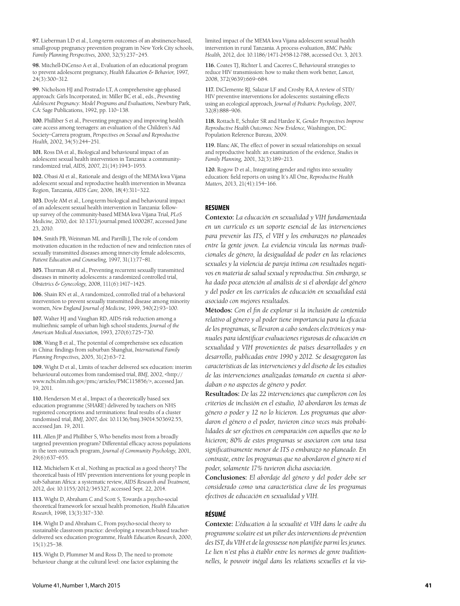**97.** Lieberman LD et al., Long-term outcomes of an abstinence-based, small-group pregnancy prevention program in New York City schools, *Family Planning Perspectives,* 2000, 32(5):237–245.

**98.** Mitchell-DiCenso A et al., Evaluation of an educational program to prevent adolescent pregnancy, *Health Education & Behavior,* 1997, 24(3):300–312.

**99.** Nicholson HJ and Postrado LT, A comprehensive age-phased approach: Girls Incorporated, in: Miller BC et al., eds., *Preventing Adolescent Pregnancy: Model Programs and Evaluations,* Newbury Park, CA: Sage Publications, 1992, pp. 110–138.

**100.** Philliber S et al., Preventing pregnancy and improving health care access among teenagers: an evaluation of the Children's Aid Society–Carrera program, *Perspectives on Sexual and Reproductive Health,* 2002, 34(5):244–251.

**101.** Ross DA et al., Biological and behavioural impact of an adolescent sexual health intervention in Tanzania: a communityrandomized trial, *AIDS,* 2007, 21(14):1943–1955.

**102.** Obasi AI et al., Rationale and design of the MEMA kwa Vijana adolescent sexual and reproductive health intervention in Mwanza Region, Tanzania, *AIDS Care,* 2006, 18(4):311–322.

**103.** Doyle AM et al., Long-term biological and behavioural impact of an adolescent sexual health intervention in Tanzania: followup survey of the community-based MEMA kwa Vijana Trial, *PLoS Medicine,* 2010, doi: 10.1371/journal.pmed.1000287, accessed June 23, 2010.

**104.** Smith PB, Weinman ML and Parrilli J, The role of condom motivation education in the reduction of new and reinfection rates of sexually transmitted diseases among inner-city female adolescents, *Patient Education and Counseling,* 1997, 31(1):77–81.

**105.** Thurman AR et al., Preventing recurrent sexually transmitted diseases in minority adolescents: a randomized controlled trial, *Obstetrics & Gynecology,* 2008, 111(6):1417–1425.

**106.** Shain RN et al., A randomized, controlled trial of a behavioral intervention to prevent sexually transmitted disease among minority women, *New England Journal of Medicine,* 1999, 340(2):93–100.

**107.** Walter HJ and Vaughan RD, AIDS risk reduction among a multiethnic sample of urban high school students, *Journal of the American Medical Association,* 1993, 270(6):725–730.

**108.** Wang B et al., The potential of comprehensive sex education in China: findings from suburban Shanghai, *International Family Planning Perspectives,* 2005, 31(2):63–72.

**109.** Wight D et al., Limits of teacher delivered sex education: interim behavioural outcomes from randomised trial, *BMJ,* 2002, <http:// www.ncbi.nlm.nih.gov/pmc/articles/PMC115856/>, accessed Jan. 19, 2011.

**110.** Henderson M et al., Impact of a theoretically based sex education programme (SHARE) delivered by teachers on NHS registered conceptions and terminations: final results of a cluster randomised trial, *BMJ,* 2007, doi: 10.1136/bmj.39014.503692.55, accessed Jan. 19, 2011.

**111.** Allen JP and Philliber S, Who benefits most from a broadly targeted prevention program? Differential efficacy across populations in the teen outreach program, *Journal of Community Psychology,* 2001, 29(6):637–655.

**112.** Michielsen K et al., Nothing as practical as a good theory? The theoretical basis of HIV prevention interventions for young people in sub-Saharan Africa: a systematic review, *AIDS Research and Treatment,* 2012, doi: 10.1155/2012/345327, accessed Sept. 22, 2014.

**113.** Wight D, Abraham C and Scott S, Towards a psycho-social theoretical framework for sexual health promotion, *Health Education Research,* 1998, 13(3):317–330.

**114.** Wight D and Abraham C, From psycho-social theory to sustainable classroom practice: developing a research-based teacherdelivered sex education programme, *Health Education Research,* 2000, 15(1):25–38.

**115.** Wight D, Plummer M and Ross D, The need to promote behaviour change at the cultural level: one factor explaining the limited impact of the MEMA kwa Vijana adolescent sexual health intervention in rural Tanzania. A process evaluation, *BMC Public Health,* 2012, doi: 10.1186/1471-2458-12-788, accessed Oct. 3, 2013.

**116.** Coates TJ, Richter L and Caceres C, Behavioural strategies to reduce HIV transmission: how to make them work better, *Lancet,* 2008, 372(9639):669–684.

**117.** DiClemente RJ, Salazar LF and Crosby RA, A review of STD/ HIV preventive interventions for adolescents: sustaining effects using an ecological approach, *Journal of Pediatric Psychology,* 2007, 32(8):888–906.

**118.** Rottach E, Schuler SR and Hardee K, *Gender Perspectives Improve Reproductive Health Outcomes: New Evidence,* Washington, DC: Population Reference Bureau, 2009.

**119.** Blanc AK, The effect of power in sexual relationships on sexual and reproductive health: an examination of the evidence, *Studies in Family Planning,* 2001, 32(3):189–213.

**120.** Rogow D et al., Integrating gender and rights into sexuality education: field reports on using It's All One, *Reproductive Health Matters,* 2013, 21(41):154–166.

# **RESUMEN**

**Contexto:** *La educación en sexualidad y VIH fundamentada en un currículo es un soporte esencial de las intervenciones para prevenir las ITS, el VIH y los embarazos no planeados entre la gente joven. La evidencia vincula las normas tradicionales de género, la desigualdad de poder en las relaciones sexuales y la violencia de pareja íntima con resultados negativos en materia de salud sexual y reproductiva. Sin embargo, se ha dado poca atención al análisis de si el abordaje del género y del poder en los currículos de educación en sexualidad está asociado con mejores resultados.*

**Métodos:** *Con el fin de explorar si la inclusión de contenido relativo al género y al poder tiene importancia para la eficacia de los programas, se llevaron a cabo sondeos electrónicos y manuales para identificar evaluaciones rigurosas de educación en sexualidad y VIH provenientes de países desarrollados y en desarrollo, publicadas entre 1990 y 2012. Se desagregaron las características de las intervenciones y del diseño de los estudios de las intervenciones analizadas tomando en cuenta si abordaban o no aspectos de género y poder.*

**Resultados:** *De las 22 intervenciones que cumplieron con los criterios de inclusión en el estudio, 10 abordaron los temas de género o poder y 12 no lo hicieron. Los programas que abordaron el género o el poder, tuvieron cinco veces más probabilidades de ser efectivos en comparación con aquellos que no lo hicieron; 80% de estos programas se asociaron con una tasa significativamente menor de ITS o embarazo no planeado. En contraste, entre los programas que no abordaron el género ni el poder, solamente 17% tuvieron dicha asociación.* 

**Conclusiones:** *El abordaje del género y del poder debe ser considerado como una característica clave de los programas efectivos de educación en sexualidad y VIH.*

## **RÉSUMÉ**

**Contexte:** *L'éducation à la sexualité et VIH dans le cadre du programme scolaire est un pilier des interventions de prévention des IST, du VIH et de la grossesse non planifiée parmi les jeunes. Le lien n'est plus à établir entre les normes de genre traditionnelles, le pouvoir inégal dans les relations sexuelles et la vio-*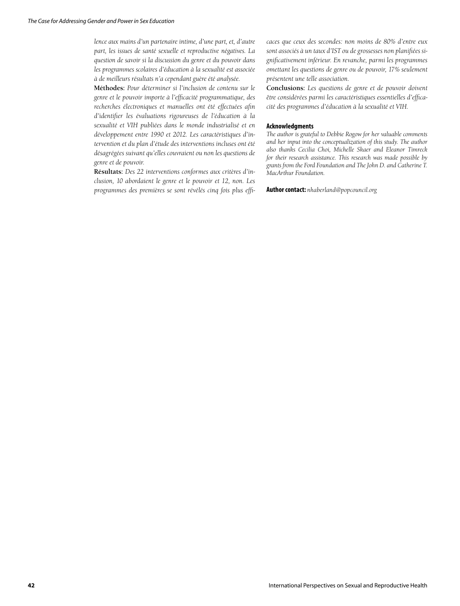*lence aux mains d'un partenaire intime, d'une part, et, d'autre part, les issues de santé sexuelle et reproductive négatives. La question de savoir si la discussion du genre et du pouvoir dans les programmes scolaires d'éducation à la sexualité est associée à de meilleurs résultats n'a cependant guère été analysée.* 

**Méthodes:** *Pour déterminer si l'inclusion de contenu sur le genre et le pouvoir importe à l'efficacité programmatique, des recherches électroniques et manuelles ont été effectuées afin d'identifier les évaluations rigoureuses de l'éducation à la sexualité et VIH publiées dans le monde industrialisé et en développement entre 1990 et 2012. Les caractéristiques d'intervention et du plan d'étude des interventions incluses ont été désagrégées suivant qu'elles couvraient ou non les questions de genre et de pouvoir.*

**Résultats:** *Des 22 interventions conformes aux critères d'inclusion, 10 abordaient le genre et le pouvoir et 12, non. Les programmes des premières se sont révélés cinq fois plus effi-*

*caces que ceux des secondes: non moins de 80% d'entre eux sont associés à un taux d'IST ou de grossesses non planifiées significativement inférieur. En revanche, parmi les programmes omettant les questions de genre ou de pouvoir, 17% seulement présentent une telle association.*

**Conclusions:** *Les questions de genre et de pouvoir doivent être considérées parmi les caractéristiques essentielles d'efficacité des programmes d'éducation à la sexualité et VIH.*

#### **Acknowledgments**

*The author is grateful to Debbie Rogow for her valuable comments and her input into the conceptualization of this study. The author also thanks Cecilia Choi, Michelle Skaer and Eleanor Timreck for their research assistance. This research was made possible by grants from the Ford Foundation and The John D. and Catherine T. MacArthur Foundation.*

**Author contact:** *nhaberland@popcouncil.org*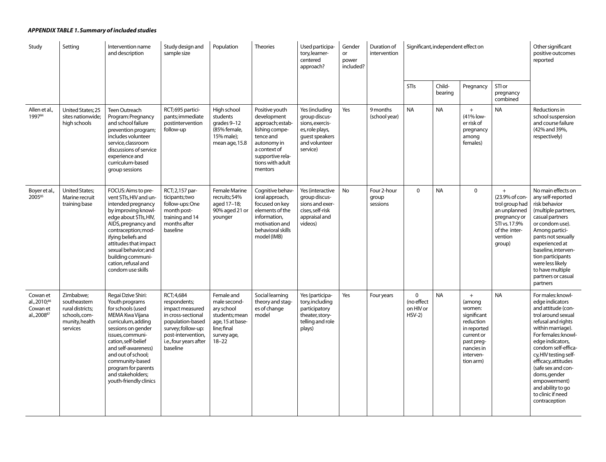# *APPENDIX TABLE 1. Summary of included studies*

| Study                                                           | Setting                                                                                      | Intervention name<br>and description                                                                                                                                                                                                                                                                      | Study design and<br>sample size                                                                                                                                           | Population                                                                                                                | <b>Theories</b>                                                                                                                                                    | Used participa-<br>tory, learner-<br>centered<br>approach?                                                           | Gender<br>or<br>power<br>included? | Duration of<br>intervention      |                                          | Significant, independent effect on |                                                                                                                                        |                                                                                                                                | Other significant<br>positive outcomes<br>reported                                                                                                                                                                                                                                                                                                             |
|-----------------------------------------------------------------|----------------------------------------------------------------------------------------------|-----------------------------------------------------------------------------------------------------------------------------------------------------------------------------------------------------------------------------------------------------------------------------------------------------------|---------------------------------------------------------------------------------------------------------------------------------------------------------------------------|---------------------------------------------------------------------------------------------------------------------------|--------------------------------------------------------------------------------------------------------------------------------------------------------------------|----------------------------------------------------------------------------------------------------------------------|------------------------------------|----------------------------------|------------------------------------------|------------------------------------|----------------------------------------------------------------------------------------------------------------------------------------|--------------------------------------------------------------------------------------------------------------------------------|----------------------------------------------------------------------------------------------------------------------------------------------------------------------------------------------------------------------------------------------------------------------------------------------------------------------------------------------------------------|
|                                                                 |                                                                                              |                                                                                                                                                                                                                                                                                                           |                                                                                                                                                                           |                                                                                                                           |                                                                                                                                                                    |                                                                                                                      |                                    |                                  | STIs                                     | Child-<br>bearing                  | Pregnancy                                                                                                                              | STI or<br>pregnancy<br>combined                                                                                                |                                                                                                                                                                                                                                                                                                                                                                |
| Allen et al.,<br>199784                                         | United States; 25<br>sites nationwide;<br>high schools                                       | Teen Outreach<br>Program: Pregnancy<br>and school failure<br>prevention program;<br>includes volunteer<br>service, classroom<br>discussions of service<br>experience and<br>curriculum-based<br>group sessions                                                                                            | RCT;695 partici-<br>pants; immediate<br>postintervention<br>follow-up                                                                                                     | High school<br>students<br>grades 9-12<br>(85% female,<br>15% male);<br>mean age, 15.8                                    | Positive youth<br>development<br>approach; estab-<br>lishing compe-<br>tence and<br>autonomy in<br>a context of<br>supportive rela-<br>tions with adult<br>mentors | Yes (including<br>group discus-<br>sions, exercis-<br>es, role plays,<br>quest speakers<br>and volunteer<br>service) | Yes                                | 9 months<br>(school year)        | <b>NA</b>                                | <b>NA</b>                          | $+$<br>(41% low-<br>er risk of<br>pregnancy<br>among<br>females)                                                                       | <b>NA</b>                                                                                                                      | Reductions in<br>school suspension<br>and course failure<br>(42% and 39%,<br>respectively)                                                                                                                                                                                                                                                                     |
| Boyer et al.,<br>200585                                         | <b>United States;</b><br>Marine recruit<br>training base                                     | FOCUS: Aims to pre-<br>vent STIs, HIV and un-<br>intended pregnancy<br>by improving knowl-<br>edge about STIs, HIV,<br>AIDS, pregnancy and<br>contraception; mod-<br>ifying beliefs and<br>attitudes that impact<br>sexual behavior; and<br>building communi-<br>cation, refusal and<br>condom use skills | RCT; 2, 157 par-<br>ticipants; two<br>follow-ups:One<br>month post-<br>training and 14<br>months after<br>baseline                                                        | Female Marine<br>recruits; 54%<br>aged 17-18;<br>90% aged 21 or<br>younger                                                | Cognitive behav-<br>ioral approach,<br>focused on key<br>elements of the<br>information,<br>motivation and<br>behavioral skills<br>model (IMB)                     | Yes (interactive<br>group discus-<br>sions and exer-<br>cises, self-risk<br>appraisal and<br>videos)                 | No                                 | Four 2-hour<br>group<br>sessions | $\mathbf{0}$                             | <b>NA</b>                          | $\mathbf 0$                                                                                                                            | $+$<br>(23.9% of con-<br>trol group had<br>an unplanned<br>pregnancy or<br>STI vs. 17.9%<br>of the inter-<br>vention<br>group) | No main effects on<br>any self-reported<br>risk behavior<br>(multiple partners,<br>casual partners<br>or condom use).<br>Among partici-<br>pants not sexually<br>experienced at<br>baseline, interven-<br>tion participants<br>were less likely<br>to have multiple<br>partners or casual<br>partners                                                          |
| Cowan et<br>al., 2010;86<br>Cowan et<br>al., 2008 <sup>87</sup> | Zimbabwe;<br>southeastern<br>rural districts;<br>schools, com-<br>munity, health<br>services | Regai Dzive Shiri:<br>Youth programs<br>for schools (used<br>MEMA Kwa Vijana<br>curriculum, adding<br>sessions on gender<br>issues, communi-<br>cation, self-belief<br>and self-awareness)<br>and out of school:<br>community-based<br>program for parents<br>and stakeholders;<br>youth-friendly clinics | RCT; 4,684<br>respondents;<br>impact measured<br>in cross-sectional<br>population-based<br>survey; follow-up:<br>post-intervention,<br>i.e., four years after<br>baseline | Female and<br>male second-<br>ary school<br>students; mean<br>age, 15 at base-<br>line; final<br>survey age,<br>$18 - 22$ | Social learning<br>theory and stag-<br>es of change<br>model                                                                                                       | Yes (participa-<br>tory, including<br>participatory<br>theater, story-<br>telling and role<br>plays)                 | Yes                                | Four years                       | 0<br>(no effect<br>on HIV or<br>$HSV-2)$ | <b>NA</b>                          | $+$<br>(among<br>women:<br>significant<br>reduction<br>in reported<br>current or<br>past preq-<br>nancies in<br>interven-<br>tion arm) | <b>NA</b>                                                                                                                      | For males: knowl-<br>edge indicators<br>and attitude (con-<br>trol around sexual<br>refusal and rights<br>within marriage).<br>For females: knowl-<br>edge indicators,<br>condom self-effica-<br>cy, HIV testing self-<br>efficacy, attitudes<br>(safe sex and con-<br>doms, gender<br>empowerment)<br>and ability to go<br>to clinic if need<br>contraception |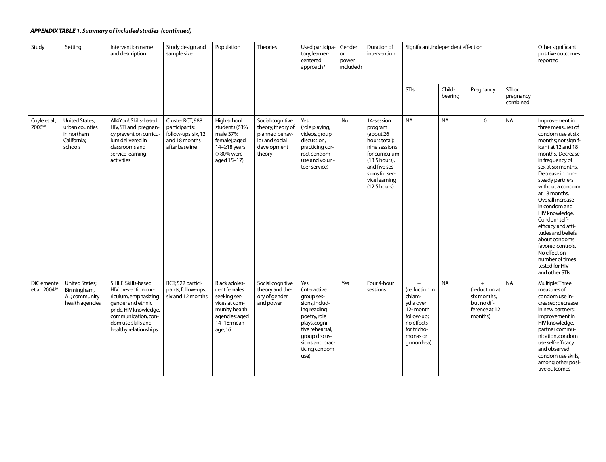| Study                               | Setting                                                                          | Intervention name<br>and description                                                                                                                                                   | Study design and<br>sample size                                                             | Population                                                                                                                  | <b>Theories</b>                                                                                    | Used participa-<br>tory, learner-<br>centered<br>approach?                                                                                                                                  | Gender<br>or<br>power<br>included? | Duration of<br>intervention                                                                                                                                                   | Significant, independent effect on                                                                                           |                   |                                                                                |                                 | Other significant<br>positive outcomes<br>reported                                                                                                                                                                                                                                                                                                                                                                                                                            |
|-------------------------------------|----------------------------------------------------------------------------------|----------------------------------------------------------------------------------------------------------------------------------------------------------------------------------------|---------------------------------------------------------------------------------------------|-----------------------------------------------------------------------------------------------------------------------------|----------------------------------------------------------------------------------------------------|---------------------------------------------------------------------------------------------------------------------------------------------------------------------------------------------|------------------------------------|-------------------------------------------------------------------------------------------------------------------------------------------------------------------------------|------------------------------------------------------------------------------------------------------------------------------|-------------------|--------------------------------------------------------------------------------|---------------------------------|-------------------------------------------------------------------------------------------------------------------------------------------------------------------------------------------------------------------------------------------------------------------------------------------------------------------------------------------------------------------------------------------------------------------------------------------------------------------------------|
|                                     |                                                                                  |                                                                                                                                                                                        |                                                                                             |                                                                                                                             |                                                                                                    |                                                                                                                                                                                             |                                    |                                                                                                                                                                               | STIs                                                                                                                         | Child-<br>bearing | Pregnancy                                                                      | STI or<br>pregnancy<br>combined |                                                                                                                                                                                                                                                                                                                                                                                                                                                                               |
| Coyle et al.,<br>200688             | <b>United States;</b><br>urban counties<br>in northern<br>California;<br>schools | All4You!: Skills-based<br>HIV, STI and pregnan-<br>cy prevention curricu-<br>lum delivered in<br>classrooms and<br>service learning<br>activities                                      | Cluster RCT; 988<br>participants;<br>follow-ups: six, 12<br>and 18 months<br>after baseline | High school<br>students (63%<br>male, 37%<br>female); aged<br>14-≥18 years<br>(>80% were<br>aged 15-17)                     | Social cognitive<br>theory, theory of<br>planned behav-<br>ior and social<br>development<br>theory | Yes<br>(role playing,<br>videos, group<br>discussion,<br>practicing cor-<br>rect condom<br>use and volun-<br>teer service)                                                                  | No                                 | 14-session<br>program<br>(about 26<br>hours total):<br>nine sessions<br>for curriculum<br>(13.5 hours),<br>and five ses-<br>sions for ser-<br>vice learning<br>$(12.5$ hours) | <b>NA</b>                                                                                                                    | <b>NA</b>         | $\mathbf 0$                                                                    | <b>NA</b>                       | Improvement in<br>three measures of<br>condom use at six<br>months; not signif-<br>icant at 12 and 18<br>months. Decrease<br>in frequency of<br>sex at six months.<br>Decrease in non-<br>steady partners<br>without a condom<br>at 18 months.<br>Overall increase<br>in condom and<br>HIV knowledge.<br>Condom self-<br>efficacy and atti-<br>tudes and beliefs<br>about condoms<br>favored controls.<br>No effect on<br>number of times<br>tested for HIV<br>and other STIs |
| <b>DiClemente</b><br>et al., 200489 | <b>United States;</b><br>Birmingham,<br>AL; community<br>health agencies         | SIHLE: Skills-based<br>HIV prevention cur-<br>riculum, emphasizing<br>gender and ethnic<br>pride, HIV knowledge,<br>communication, con-<br>dom use skills and<br>healthy relationships | RCT;522 partici-<br>pants; follow-ups:<br>six and 12 months                                 | Black adoles-<br>cent females<br>seeking ser-<br>vices at com-<br>munity health<br>agencies; aged<br>14-18; mean<br>age, 16 | Social cognitive<br>theory and the-<br>ory of gender<br>and power                                  | Yes<br><i>(interactive)</i><br>group ses-<br>sions, includ-<br>ing reading<br>poetry, role<br>plays, cogni-<br>tive rehearsal,<br>group discus-<br>sions and prac-<br>ticing condom<br>use) | Yes                                | Four 4-hour<br>sessions                                                                                                                                                       | $+$<br>(reduction in<br>chlam-<br>ydia over<br>12-month<br>follow-up;<br>no effects<br>for tricho-<br>monas or<br>qonorrhea) | <b>NA</b>         | $+$<br>(reduction at<br>six months,<br>but no dif-<br>ference at 12<br>months) | <b>NA</b>                       | Multiple: Three<br>measures of<br>condom use in-<br>creased; decrease<br>in new partners;<br>improvement in<br>HIV knowledge,<br>partner commu-<br>nication, condom<br>use self-efficacy<br>and observed<br>condom use skills,<br>among other posi-<br>tive outcomes                                                                                                                                                                                                          |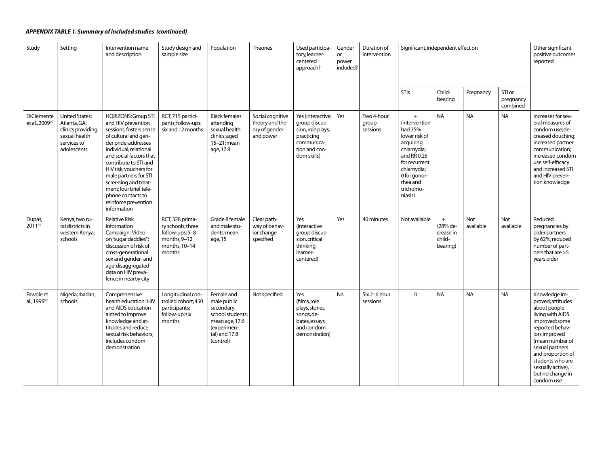| Study                                           | Setting                                                                                                   | Intervention name<br>and description                                                                                                                                                                                                                                                                                                                                       | Study design and<br>sample size                                                                    | Population                                                                                                                | <b>Theories</b>                                                   | Used participa-<br>tory, learner-<br>centered<br>approach?                                                          | Gender<br>or<br>power<br>included? | Duration of<br>intervention     | Significant, independent effect on                                                                                                                                            |                                                    |                  |                                 | Other significant<br>positive outcomes<br>reported                                                                                                                                                                                                                 |
|-------------------------------------------------|-----------------------------------------------------------------------------------------------------------|----------------------------------------------------------------------------------------------------------------------------------------------------------------------------------------------------------------------------------------------------------------------------------------------------------------------------------------------------------------------------|----------------------------------------------------------------------------------------------------|---------------------------------------------------------------------------------------------------------------------------|-------------------------------------------------------------------|---------------------------------------------------------------------------------------------------------------------|------------------------------------|---------------------------------|-------------------------------------------------------------------------------------------------------------------------------------------------------------------------------|----------------------------------------------------|------------------|---------------------------------|--------------------------------------------------------------------------------------------------------------------------------------------------------------------------------------------------------------------------------------------------------------------|
|                                                 |                                                                                                           |                                                                                                                                                                                                                                                                                                                                                                            |                                                                                                    |                                                                                                                           |                                                                   |                                                                                                                     |                                    |                                 | STIs                                                                                                                                                                          | Child-<br>bearing                                  | Pregnancy        | STI or<br>pregnancy<br>combined |                                                                                                                                                                                                                                                                    |
| <b>DiClemente</b><br>et al., 2009 <sup>90</sup> | <b>United States;</b><br>Atlanta, GA;<br>clinics providing<br>sexual health<br>services to<br>adolescents | <b>HORIZONS: Group STI</b><br>and HIV prevention<br>sessions; fosters sense<br>of cultural and gen-<br>der pride; addresses<br>individual, relational<br>and social factors that<br>contribute to STI and<br>HIV risk; vouchers for<br>male partners for STI<br>screening and treat-<br>ment; four brief tele-<br>phone contacts to<br>reinforce prevention<br>information | RCT; 715 partici-<br>pants; follow-ups:<br>six and 12 months                                       | <b>Black females</b><br>attending<br>sexual health<br>clinics; aged<br>$15-21$ ; mean<br>age, 17.8                        | Social cognitive<br>theory and the-<br>ory of gender<br>and power | Yes (interactive;<br>group discus-<br>sion, role plays,<br>practicing<br>communica-<br>tion and con-<br>dom skills) | Yes                                | Two 4-hour<br>group<br>sessions | $+$<br>(intervention<br>had 35%<br>lower risk of<br>acquiring<br>chlamydia;<br>and RR 0.25<br>for recurrent<br>chlamydia;<br>0 for gonor-<br>rhea and<br>trichomo-<br>niasis) | <b>NA</b>                                          | <b>NA</b>        | <b>NA</b>                       | Increases for sev-<br>eral measures of<br>condom use: de-<br>creased douching;<br>increased partner<br>communication;<br>increased condom<br>use self-efficacy<br>and increased STI<br>and HIV preven-<br>tion knowledge                                           |
| Dupas,<br>201191                                | Kenya; two ru-<br>ral districts in<br>western Kenya;<br>schools                                           | <b>Relative Risk</b><br>Information<br>Campaign: Video<br>on "sugar daddies";<br>discussion of risk of<br>cross-generational<br>sex and gender- and<br>age-disaggregated<br>data on HIV preva-<br>lence in nearby city                                                                                                                                                     | RCT; 328 prima-<br>ry schools; three<br>follow-ups: 5-8<br>months, 9-12<br>months, 10-14<br>months | Grade 8 female<br>and male stu-<br>dents; mean<br>age, 15                                                                 | Clear path-<br>way of behav-<br>ior change<br>specified           | Yes<br><i>(interactive)</i><br>group discus-<br>sion, critical<br>thinking,<br>learner-<br>centered)                | Yes                                | 40 minutes                      | Not available                                                                                                                                                                 | $+$<br>(28% de-<br>crease in<br>child-<br>bearing) | Not<br>available | Not<br>available                | Reduced<br>pregnancies by<br>older partners<br>by 62%; reduced<br>number of part-<br>ners that are >5<br>years older                                                                                                                                               |
| Fawole et<br>al., 199992                        | Nigeria; Ibadan;<br>schools                                                                               | Comprehensive<br>health education: HIV<br>and AIDS education<br>aimed to improve<br>knowledge and at-<br>titudes and reduce<br>sexual risk behaviors;<br>includes condom<br>demonstration                                                                                                                                                                                  | Longitudinal con-<br>trolled cohort; 450<br>participants;<br>follow-up:six<br>months               | Female and<br>male public<br>secondary<br>school students:<br>mean age, 17.6<br>(experimen-<br>tal) and 17.8<br>(control) | Not specified                                                     | Yes<br>(films, role<br>plays, stories,<br>songs, de-<br>bates, essays<br>and condom<br>demonstration)               | No                                 | Six 2-6 hour<br>sessions        | $\mathbf 0$                                                                                                                                                                   | <b>NA</b>                                          | <b>NA</b>        | <b>NA</b>                       | Knowledge im-<br>proved; attitudes<br>about people<br>living with AIDS<br>improved; some<br>reported behav-<br>iors improved<br>(mean number of<br>sexual partners<br>and proportion of<br>students who are<br>sexually active),<br>but no change in<br>condom use |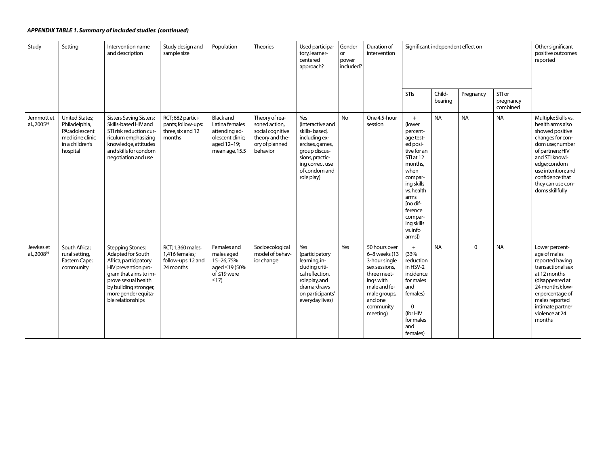| Study                                 | Setting                                                                                                    | Intervention name<br>and description                                                                                                                                                                              | Study design and<br>sample size                                        | Population                                                                                               | <b>Theories</b>                                                                                      | Used participa-<br>tory, learner-<br>centered<br>approach?                                                                                                         | Gender<br>or<br>power<br>included? | Duration of<br>intervention                                                                                                                                      | Significant, independent effect on                                                                                                                                                                                   |                   |             |                                 | Other significant<br>positive outcomes<br>reported                                                                                                                                                                                        |
|---------------------------------------|------------------------------------------------------------------------------------------------------------|-------------------------------------------------------------------------------------------------------------------------------------------------------------------------------------------------------------------|------------------------------------------------------------------------|----------------------------------------------------------------------------------------------------------|------------------------------------------------------------------------------------------------------|--------------------------------------------------------------------------------------------------------------------------------------------------------------------|------------------------------------|------------------------------------------------------------------------------------------------------------------------------------------------------------------|----------------------------------------------------------------------------------------------------------------------------------------------------------------------------------------------------------------------|-------------------|-------------|---------------------------------|-------------------------------------------------------------------------------------------------------------------------------------------------------------------------------------------------------------------------------------------|
|                                       |                                                                                                            |                                                                                                                                                                                                                   |                                                                        |                                                                                                          |                                                                                                      |                                                                                                                                                                    |                                    |                                                                                                                                                                  | STIs                                                                                                                                                                                                                 | Child-<br>bearing | Pregnancy   | STI or<br>pregnancy<br>combined |                                                                                                                                                                                                                                           |
| Jemmott et<br>al., 2005 <sup>93</sup> | <b>United States;</b><br>Philadelphia,<br>PA; adolescent<br>medicine clinic<br>in a children's<br>hospital | <b>Sisters Saving Sisters:</b><br>Skills-based HIV and<br>STI risk reduction cur-<br>riculum emphasizing<br>knowledge, attitudes<br>and skills for condom<br>negotiation and use                                  | RCT;682 partici-<br>pants; follow-ups:<br>three, six and 12<br>months  | <b>Black and</b><br>Latina females<br>attending ad-<br>olescent clinic;<br>aged 12-19;<br>mean age, 15.5 | Theory of rea-<br>soned action,<br>social cognitive<br>theory and the-<br>ory of planned<br>behavior | Yes<br>(interactive and<br>skills-based,<br>including ex-<br>ercises, games,<br>group discus-<br>sions, practic-<br>ing correct use<br>of condom and<br>role play) | <b>No</b>                          | One 4.5-hour<br>session                                                                                                                                          | $+$<br>(lower<br>percent-<br>age test-<br>ed posi-<br>tive for an<br>STI at 12<br>months,<br>when<br>compar-<br>ing skills<br>vs.health<br>arms<br>Ino dif-<br>ference<br>compar-<br>ing skills<br>vs.info<br>arms]) | <b>NA</b>         | <b>NA</b>   | <b>NA</b>                       | Multiple: Skills vs.<br>health arms also<br>showed positive<br>changes for con-<br>dom use; number<br>of partners; HIV<br>and STI knowl-<br>edge; condom<br>use intention; and<br>confidence that<br>they can use con-<br>doms skillfully |
| Jewkes et<br>al., 2008 <sup>94</sup>  | South Africa;<br>rural setting,<br>Eastern Cape;<br>community                                              | <b>Stepping Stones:</b><br>Adapted for South<br>Africa, participatory<br>HIV prevention pro-<br>gram that aims to im-<br>prove sexual health<br>by building stronger,<br>more gender equita-<br>ble relationships | RCT; 1,360 males,<br>1,416 females;<br>follow-ups: 12 and<br>24 months | Females and<br>males aged<br>15-26;75%<br>aged ≤19 (50%<br>of ≤19 were<br>$\leq$ 17)                     | Socioecological<br>model of behav-<br>ior change                                                     | Yes<br>(participatory<br>learning, in-<br>cluding criti-<br>cal reflection,<br>roleplay, and<br>drama: draws<br>on participants'<br>everyday lives)                | Yes                                | 50 hours over<br>6-8 weeks (13<br>3-hour single<br>sex sessions,<br>three meet-<br>ings with<br>male and fe-<br>male groups,<br>and one<br>community<br>meeting) | $+$<br>(33%<br>reduction<br>in HSV-2<br>incidence<br>for males<br>and<br>females)<br>$\Omega$<br>(for HIV<br>for males<br>and<br>females)                                                                            | <b>NA</b>         | $\mathbf 0$ | <b>NA</b>                       | Lower percent-<br>age of males<br>reported having<br>transactional sex<br>at 12 months<br>(disappeared at<br>24 months); low-<br>er percentage of<br>males reported<br>intimate partner<br>violence at 24<br>months                       |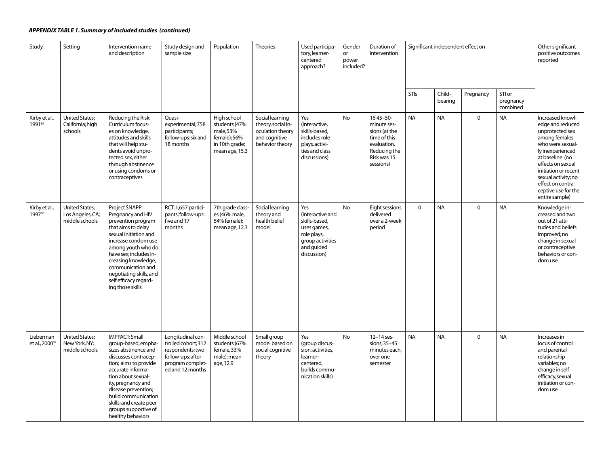| Study                                   | Setting                                                  | Intervention name<br>and description                                                                                                                                                                                                                                                                  | Study design and<br>sample size                                                                                           | Population                                                                                   | <b>Theories</b>                                                                               | Used participa-<br>tory, learner-<br>centered<br>approach?                                                              | Gender<br>or<br>power<br>included? | Duration of<br>intervention                                                                                            |           | Significant, independent effect on |             |                                 | Other significant<br>positive outcomes<br>reported                                                                                                                                                                                                                    |
|-----------------------------------------|----------------------------------------------------------|-------------------------------------------------------------------------------------------------------------------------------------------------------------------------------------------------------------------------------------------------------------------------------------------------------|---------------------------------------------------------------------------------------------------------------------------|----------------------------------------------------------------------------------------------|-----------------------------------------------------------------------------------------------|-------------------------------------------------------------------------------------------------------------------------|------------------------------------|------------------------------------------------------------------------------------------------------------------------|-----------|------------------------------------|-------------|---------------------------------|-----------------------------------------------------------------------------------------------------------------------------------------------------------------------------------------------------------------------------------------------------------------------|
|                                         |                                                          |                                                                                                                                                                                                                                                                                                       |                                                                                                                           |                                                                                              |                                                                                               |                                                                                                                         |                                    |                                                                                                                        | STIs      | Child-<br>bearing                  | Pregnancy   | STI or<br>pregnancy<br>combined |                                                                                                                                                                                                                                                                       |
| Kirby et al.,<br>199195                 | <b>United States;</b><br>California; high<br>schools     | Reducing the Risk:<br>Curriculum focus-<br>es on knowledge,<br>attitudes and skills<br>that will help stu-<br>dents avoid unpro-<br>tected sex, either<br>through abstinence<br>or using condoms or<br>contraceptives                                                                                 | Quasi-<br>experimental; 758<br>participants;<br>follow-ups: six and<br>18 months                                          | High school<br>students (47%<br>male, 53%<br>female);56%<br>in 10th grade;<br>mean age, 15.3 | Social learning<br>theory, social in-<br>oculation theory<br>and cognitive<br>behavior theory | Yes<br>(interactive,<br>skills-based,<br>includes role<br>plays, activi-<br>ties and class<br>discussions)              | <b>No</b>                          | $1645 - 50$<br>minute ses-<br>sions (at the<br>time of this<br>evaluation.<br>Reducing the<br>Risk was 15<br>sessions) | <b>NA</b> | <b>NA</b>                          | $\mathbf 0$ | <b>NA</b>                       | Increased knowl-<br>edge and reduced<br>unprotected sex<br>among females<br>who were sexual-<br>ly inexperienced<br>at baseline (no<br>effects on sexual<br>initiation or recent<br>sexual activity; no<br>effect on contra-<br>ceptive use for the<br>entire sample) |
| Kirby et al.,<br>1997%                  | United States,<br>Los Angeles, CA;<br>middle schools     | Project SNAPP:<br>Pregnancy and HIV<br>prevention program<br>that aims to delay<br>sexual initiation and<br>increase condom use<br>among youth who do<br>have sex; includes in-<br>creasing knowledge,<br>communication and<br>negotiating skills, and<br>self efficacy regard-<br>ing those skills   | RCT; 1,657 partici-<br>pants;follow-ups:<br>five and 17<br>months                                                         | 7th grade class-<br>es (46% male,<br>54% female);<br>mean age, 12.3                          | Social learning<br>theory and<br>health belief<br>model                                       | Yes<br>(interactive and<br>skills-based,<br>uses games,<br>role plays,<br>group activities<br>and guided<br>discussion) | <b>No</b>                          | Eight sessions<br>delivered<br>over a 2-week<br>period                                                                 | $\Omega$  | <b>NA</b>                          | 0           | <b>NA</b>                       | Knowledge in-<br>creased and two<br>out of 21 atti-<br>tudes and beliefs<br>improved; no<br>change in sexual<br>or contraceptive<br>behaviors or con-<br>dom use                                                                                                      |
| Lieberman<br>et al., 2000 <sup>97</sup> | <b>United States;</b><br>New York, NY;<br>middle schools | IMPPACT: Small<br>group-based; empha-<br>sizes abstinence and<br>discusses contracep-<br>tion; aims to provide<br>accurate informa-<br>tion about sexual-<br>ity, pregnancy and<br>disease prevention;<br>build communication<br>skills; and create peer<br>groups supportive of<br>healthy behaviors | Longitudinal con-<br>trolled cohort; 312<br>respondents; two<br>follow-ups: after<br>program complet-<br>ed and 12 months | Middle school<br>students (67%<br>female, 33%<br>male); mean<br>age, 12.9                    | Small group<br>model based on<br>social cognitive<br>theory                                   | Yes<br>(group discus-<br>sion, activities,<br>learner-<br>centered,<br>builds commu-<br>nication skills)                | <b>No</b>                          | 12-14 ses-<br>sions, 35-45<br>minutes each,<br>over one<br>semester                                                    | <b>NA</b> | <b>NA</b>                          | 0           | <b>NA</b>                       | Increases in<br>locus of control<br>and parental<br>relationship<br>variables; no<br>change in self<br>efficacy, sexual<br>initiation or con-<br>dom use                                                                                                              |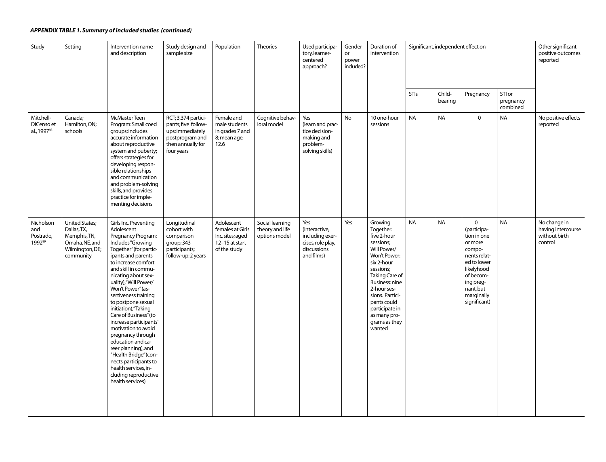| Study                                              | Setting                                                                                                | Intervention name<br>and description                                                                                                                                                                                                                                                                                                                                                                                                                                                                                                                                                     | Study design and<br>sample size                                                                                     | Population                                                                          | Theories                                            | Used participa-<br>tory, learner-<br>centered<br>approach?                                | Gender<br>or<br>power<br>included? | Duration of<br>intervention                                                                                                                                                                                                                                  |           | Significant, independent effect on |                                                                                                                                                                                  |                                 | Other significant<br>positive outcomes<br>reported             |
|----------------------------------------------------|--------------------------------------------------------------------------------------------------------|------------------------------------------------------------------------------------------------------------------------------------------------------------------------------------------------------------------------------------------------------------------------------------------------------------------------------------------------------------------------------------------------------------------------------------------------------------------------------------------------------------------------------------------------------------------------------------------|---------------------------------------------------------------------------------------------------------------------|-------------------------------------------------------------------------------------|-----------------------------------------------------|-------------------------------------------------------------------------------------------|------------------------------------|--------------------------------------------------------------------------------------------------------------------------------------------------------------------------------------------------------------------------------------------------------------|-----------|------------------------------------|----------------------------------------------------------------------------------------------------------------------------------------------------------------------------------|---------------------------------|----------------------------------------------------------------|
|                                                    |                                                                                                        |                                                                                                                                                                                                                                                                                                                                                                                                                                                                                                                                                                                          |                                                                                                                     |                                                                                     |                                                     |                                                                                           |                                    |                                                                                                                                                                                                                                                              | STIs      | Child-<br>bearing                  | Pregnancy                                                                                                                                                                        | STI or<br>pregnancy<br>combined |                                                                |
| Mitchell-<br>DiCenso et<br>al., 1997 <sup>98</sup> | Canada;<br>Hamilton, ON;<br>schools                                                                    | McMaster Teen<br>Program: Small coed<br>groups; includes<br>accurate information<br>about reproductive<br>system and puberty;<br>offers strategies for<br>developing respon-<br>sible relationships<br>and communication<br>and problem-solving<br>skills, and provides<br>practice for imple-<br>menting decisions                                                                                                                                                                                                                                                                      | RCT; 3,374 partici-<br>pants; five follow-<br>ups:immediately<br>postprogram and<br>then annually for<br>four years | Female and<br>male students<br>in grades 7 and<br>8; mean age,<br>12.6              | Cognitive behav-<br>ioral model                     | Yes<br>(learn and prac-<br>tice decision-<br>making and<br>problem-<br>solving skills)    | <b>No</b>                          | 10 one-hour<br>sessions                                                                                                                                                                                                                                      | <b>NA</b> | <b>NA</b>                          | $\mathbf 0$                                                                                                                                                                      | <b>NA</b>                       | No positive effects<br>reported                                |
| Nicholson<br>and<br>Postrado,<br>199299            | <b>United States;</b><br>Dallas, TX,<br>Memphis, TN,<br>Omaha, NE, and<br>Wilmington, DE;<br>community | Girls Inc. Preventing<br>Adolescent<br>Pregnancy Program:<br>Includes "Growing<br>Together" (for partic-<br>ipants and parents<br>to increase comfort<br>and skill in commu-<br>nicating about sex-<br>uality), "Will Power/<br>Won't Power" (as-<br>sertiveness training<br>to postpone sexual<br>initiation), "Taking<br>Care of Business" (to<br>increase participants'<br>motivation to avoid<br>pregnancy through<br>education and ca-<br>reer planning), and<br>"Health Bridge" (con-<br>nects participants to<br>health services, in-<br>cluding reproductive<br>health services) | Longitudinal<br>cohort with<br>comparison<br>group; 343<br>participants;<br>follow-up: 2 years                      | Adolescent<br>females at Girls<br>Inc.sites; aged<br>12-15 at start<br>of the study | Social learning<br>theory and life<br>options model | Yes<br>(interactive,<br>including exer-<br>cises, role play,<br>discussions<br>and films) | Yes                                | Growing<br>Together:<br>five 2-hour<br>sessions;<br>Will Power/<br>Won't Power:<br>six 2-hour<br>sessions;<br>Taking Care of<br>Business: nine<br>2-hour ses-<br>sions. Partici-<br>pants could<br>participate in<br>as many pro-<br>grams as they<br>wanted | <b>NA</b> | <b>NA</b>                          | $\mathbf 0$<br>(participa-<br>tion in one<br>or more<br>compo-<br>nents relat-<br>ed to lower<br>likelyhood<br>of becom-<br>ing preg-<br>nant, but<br>marginally<br>significant) | <b>NA</b>                       | No change in<br>having intercourse<br>without birth<br>control |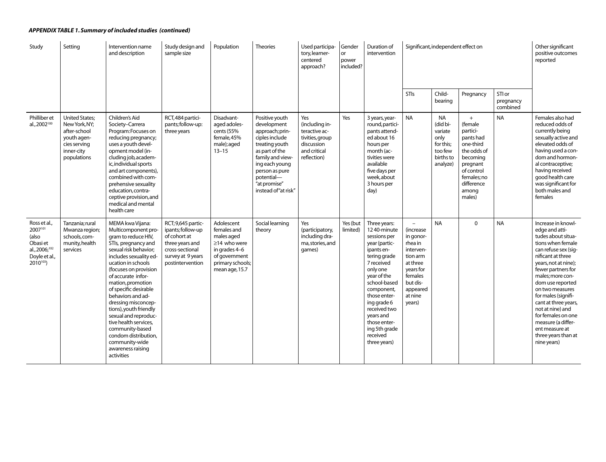| Study                                                                                          | Setting                                                                                                            | Intervention name<br>and description                                                                                                                                                                                                                                                                                                                                                                                                                                               | Study design and<br>sample size                                                                                                        | Population                                                                                                                            | Theories                                                                                                                                                                                                             | Used participa-<br>tory, learner-<br>centered<br>approach?                                             | Gender<br>or<br>power<br>included? | Duration of<br>intervention                                                                                                                                                                                                                                                                |                                                                                                                                                                                | Significant, independent effect on                                                        |                                                                                                                                                           |                                 | Other significant<br>positive outcomes<br>reported                                                                                                                                                                                                                                                                                                                                                           |
|------------------------------------------------------------------------------------------------|--------------------------------------------------------------------------------------------------------------------|------------------------------------------------------------------------------------------------------------------------------------------------------------------------------------------------------------------------------------------------------------------------------------------------------------------------------------------------------------------------------------------------------------------------------------------------------------------------------------|----------------------------------------------------------------------------------------------------------------------------------------|---------------------------------------------------------------------------------------------------------------------------------------|----------------------------------------------------------------------------------------------------------------------------------------------------------------------------------------------------------------------|--------------------------------------------------------------------------------------------------------|------------------------------------|--------------------------------------------------------------------------------------------------------------------------------------------------------------------------------------------------------------------------------------------------------------------------------------------|--------------------------------------------------------------------------------------------------------------------------------------------------------------------------------|-------------------------------------------------------------------------------------------|-----------------------------------------------------------------------------------------------------------------------------------------------------------|---------------------------------|--------------------------------------------------------------------------------------------------------------------------------------------------------------------------------------------------------------------------------------------------------------------------------------------------------------------------------------------------------------------------------------------------------------|
|                                                                                                |                                                                                                                    |                                                                                                                                                                                                                                                                                                                                                                                                                                                                                    |                                                                                                                                        |                                                                                                                                       |                                                                                                                                                                                                                      |                                                                                                        |                                    |                                                                                                                                                                                                                                                                                            | STIs                                                                                                                                                                           | Child-<br>bearing                                                                         | Pregnancy                                                                                                                                                 | STI or<br>pregnancy<br>combined |                                                                                                                                                                                                                                                                                                                                                                                                              |
| Philliber et<br>al., 2002 <sup>100</sup>                                                       | <b>United States;</b><br>New York, NY:<br>after-school<br>youth agen-<br>cies serving<br>inner-city<br>populations | Children's Aid<br>Society-Carrera<br>Program: Focuses on<br>reducing pregnancy;<br>uses a youth devel-<br>opment model (in-<br>cluding job, academ-<br>ic, individual sports<br>and art components),<br>combined with com-<br>prehensive sexuality<br>education, contra-<br>ceptive provision, and<br>medical and mental<br>health care                                                                                                                                            | RCT, 484 partici-<br>pants; follow-up:<br>three years                                                                                  | Disadvant-<br>aged adoles-<br>cents (55%<br>female, 45%<br>male); aged<br>$13 - 15$                                                   | Positive youth<br>development<br>approach; prin-<br>ciples include<br>treating youth<br>as part of the<br>family and view-<br>ing each young<br>person as pure<br>potential-<br>"at promise"<br>instead of "at risk" | Yes<br>(including in-<br>teractive ac-<br>tivities, group<br>discussion<br>and critical<br>reflection) | Yes                                | 3 years, year-<br>round, partici-<br>pants attend-<br>ed about 16<br>hours per<br>month (ac-<br>tivities were<br>available<br>five days per<br>week, about<br>3 hours per<br>day)                                                                                                          | <b>NA</b>                                                                                                                                                                      | <b>NA</b><br>(did bi-<br>variate<br>only<br>for this;<br>too few<br>births to<br>analyze) | $+$<br>(female<br>partici-<br>pants had<br>one-third<br>the odds of<br>becoming<br>pregnant<br>of control<br>females; no<br>difference<br>among<br>males) | <b>NA</b>                       | Females also had<br>reduced odds of<br>currently being<br>sexually active and<br>elevated odds of<br>having used a con-<br>dom and hormon-<br>al contraceptive;<br>having received<br>good health care<br>was significant for<br>both males and<br>females                                                                                                                                                   |
| Ross et al.,<br>2007101<br>(also<br>Obasi et<br>al., 2006;102<br>Doyle et al.,<br>$2010^{103}$ | Tanzania; rural<br>Mwanza region;<br>schools, com-<br>munity, health<br>services                                   | MEMA kwa Vijana:<br>Multicomponent pro-<br>gram to reduce HIV,<br>STIs, pregnancy and<br>sexual risk behavior;<br>includes sexuality ed-<br>ucation in schools<br>(focuses on provision<br>of accurate infor-<br>mation, promotion<br>of specific desirable<br>behaviors and ad-<br>dressing misconcep-<br>tions), youth friendly<br>sexual and reproduc-<br>tive health services,<br>community-based<br>condom distribution,<br>community-wide<br>awareness raising<br>activities | RCT; 9,645 partic-<br>ipants; follow-up<br>of cohort at<br>three years and<br>cross-sectional<br>survey at 9 years<br>postintervention | Adolescent<br>females and<br>males aged<br>$\geq$ 14 who were<br>in grades 4-6<br>of government<br>primary schools;<br>mean age, 15.7 | Social learning<br>theory                                                                                                                                                                                            | Yes<br>(participatory,<br>including dra-<br>ma, stories, and<br>qames)                                 | Yes (but<br>limited)               | Three years:<br>1240-minute<br>sessions per<br>year (partic-<br>ipants en-<br>tering grade<br>7 received<br>only one<br>year of the<br>school-based<br>component,<br>those enter-<br>ing grade 6<br>received two<br>years and<br>those enter-<br>ing 5th grade<br>received<br>three years) | $\overline{\phantom{a}}$<br><i>(increase</i><br>in gonor-<br>rhea in<br>interven-<br>tion arm<br>at three<br>years for<br>females<br>but dis-<br>appeared<br>at nine<br>years) | <b>NA</b>                                                                                 | $\Omega$                                                                                                                                                  | <b>NA</b>                       | Increase in knowl-<br>edge and atti-<br>tudes about situa-<br>tions when female<br>can refuse sex (sig-<br>nificant at three<br>years, not at nine);<br>fewer partners for<br>males; more con-<br>dom use reported<br>on two measures<br>for males (signifi-<br>cant at three years,<br>not at nine) and<br>for females on one<br>measure (a differ-<br>ent measure at<br>three years than at<br>nine years) |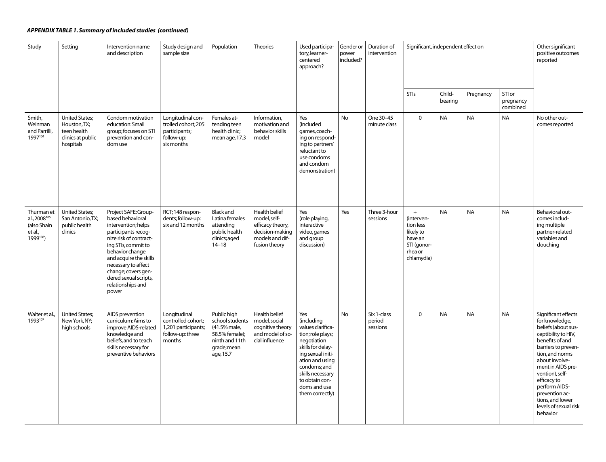| Study                                                                        | Setting                                                                                | Intervention name<br>and description                                                                                                                                                                                                                                                      | Study design and<br>sample size                                                        | Population                                                                                                     | <b>Theories</b>                                                                                                 | Used participa-<br>tory, learner-<br>centered<br>approach?                                                                                                                                                                       | Gender or<br>power<br>included? | Duration of<br>intervention       | Significant, independent effect on                                                             |                   |           |                                 | Other significant<br>positive outcomes<br>reported                                                                                                                                                                                                                                                                    |
|------------------------------------------------------------------------------|----------------------------------------------------------------------------------------|-------------------------------------------------------------------------------------------------------------------------------------------------------------------------------------------------------------------------------------------------------------------------------------------|----------------------------------------------------------------------------------------|----------------------------------------------------------------------------------------------------------------|-----------------------------------------------------------------------------------------------------------------|----------------------------------------------------------------------------------------------------------------------------------------------------------------------------------------------------------------------------------|---------------------------------|-----------------------------------|------------------------------------------------------------------------------------------------|-------------------|-----------|---------------------------------|-----------------------------------------------------------------------------------------------------------------------------------------------------------------------------------------------------------------------------------------------------------------------------------------------------------------------|
|                                                                              |                                                                                        |                                                                                                                                                                                                                                                                                           |                                                                                        |                                                                                                                |                                                                                                                 |                                                                                                                                                                                                                                  |                                 |                                   | STIs                                                                                           | Child-<br>bearing | Pregnancy | STI or<br>pregnancy<br>combined |                                                                                                                                                                                                                                                                                                                       |
| Smith,<br>Weinman<br>and Parrilli,<br>1997104                                | <b>United States;</b><br>Houston, TX;<br>teen health<br>clinics at public<br>hospitals | Condom motivation<br>education: Small<br>group; focuses on STI<br>prevention and con-<br>dom use                                                                                                                                                                                          | Longitudinal con-<br>trolled cohort; 205<br>participants;<br>follow-up:<br>six months  | Females at-<br>tending teen<br>health clinic;<br>mean age, 17.3                                                | Information,<br>motivation and<br>behavior skills<br>model                                                      | Yes<br><i>(included</i><br>games, coach-<br>ing on respond-<br>ing to partners'<br>reluctant to<br>use condoms<br>and condom<br>demonstration)                                                                                   | <b>No</b>                       | One 30-45<br>minute class         | $\mathbf 0$                                                                                    | <b>NA</b>         | <b>NA</b> | <b>NA</b>                       | No other out-<br>comes reported                                                                                                                                                                                                                                                                                       |
| Thurman et<br>al., 2008 <sup>105</sup><br>(also Shain<br>et al.,<br>1999106) | <b>United States;</b><br>San Antonio, TX;<br>public health<br>clinics                  | Project SAFE: Group-<br>based behavioral<br>intervention; helps<br>participants recoq-<br>nize risk of contract-<br>ing STIs, commit to<br>behavior change<br>and acquire the skills<br>necessary to affect<br>change; covers gen-<br>dered sexual scripts,<br>relationships and<br>power | RCT; 148 respon-<br>dents;follow-up:<br>six and 12 months                              | <b>Black and</b><br>Latina females<br>attending<br>public health<br>clinics; aged<br>$14 - 18$                 | <b>Health belief</b><br>model, self-<br>efficacy theory,<br>decision-making<br>models and dif-<br>fusion theory | Yes<br>(role playing,<br>interactive<br>video, games<br>and group<br>discussion)                                                                                                                                                 | Yes                             | Three 3-hour<br>sessions          | $+$<br>(interven-<br>tion less<br>likely to<br>have an<br>STI (gonor-<br>rhea or<br>chlamydia) | <b>NA</b>         | <b>NA</b> | <b>NA</b>                       | Behavioral out-<br>comes includ-<br>ing multiple<br>partner-related<br>variables and<br>douching                                                                                                                                                                                                                      |
| Walter et al.,<br>1993107                                                    | <b>United States;</b><br>New York, NY;<br>high schools                                 | AIDS prevention<br>curriculum: Aims to<br>improve AIDS-related<br>knowledge and<br>beliefs, and to teach<br>skills necessary for<br>preventive behaviors                                                                                                                                  | Longitudinal<br>controlled cohort;<br>1,201 participants;<br>follow-up:three<br>months | Public high<br>school students<br>(41.5% male,<br>58.5% female);<br>ninth and 11th<br>grade; mean<br>age, 15.7 | Health belief<br>model, social<br>cognitive theory<br>and model of so-<br>cial influence                        | Yes<br>(including<br>values clarifica-<br>tion; role plays;<br>negotiation<br>skills for delay-<br>ing sexual initi-<br>ation and using<br>condoms; and<br>skills necessary<br>to obtain con-<br>doms and use<br>them correctly) | <b>No</b>                       | Six 1-class<br>period<br>sessions | $\mathbf 0$                                                                                    | <b>NA</b>         | <b>NA</b> | <b>NA</b>                       | Significant effects<br>for knowledge,<br>beliefs (about sus-<br>ceptibility to HIV,<br>benefits of and<br>barriers to preven-<br>tion, and norms<br>about involve-<br>ment in AIDS pre-<br>vention), self-<br>efficacy to<br>perform AIDS-<br>prevention ac-<br>tions, and lower<br>levels of sexual risk<br>behavior |